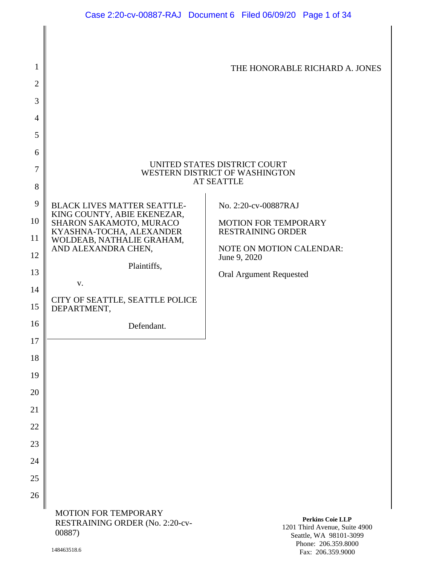| 1                                                                                        |                                                                          | THE HONORABLE RICHARD A. JONES                                                    |
|------------------------------------------------------------------------------------------|--------------------------------------------------------------------------|-----------------------------------------------------------------------------------|
| $\overline{2}$                                                                           |                                                                          |                                                                                   |
| 3                                                                                        |                                                                          |                                                                                   |
| 4                                                                                        |                                                                          |                                                                                   |
| 5                                                                                        |                                                                          |                                                                                   |
| 6                                                                                        |                                                                          |                                                                                   |
| UNITED STATES DISTRICT COURT<br>7<br>WESTERN DISTRICT OF WASHINGTON<br><b>AT SEATTLE</b> |                                                                          |                                                                                   |
| 8                                                                                        |                                                                          |                                                                                   |
| 9                                                                                        | <b>BLACK LIVES MATTER SEATTLE-</b><br>KING COUNTY, ABIE EKENEZAR,        | No. 2:20-cv-00887RAJ                                                              |
| 10                                                                                       | SHARON SAKAMOTO, MURACO<br>KYASHNA-TOCHA, ALEXANDER                      | <b>MOTION FOR TEMPORARY</b><br><b>RESTRAINING ORDER</b>                           |
| 11                                                                                       | WOLDEAB, NATHALIE GRAHAM,<br>AND ALEXANDRA CHEN,                         | <b>NOTE ON MOTION CALENDAR:</b>                                                   |
| 12<br>13                                                                                 | Plaintiffs,                                                              | June 9, 2020                                                                      |
| 14                                                                                       | V.                                                                       | <b>Oral Argument Requested</b>                                                    |
| 15                                                                                       | CITY OF SEATTLE, SEATTLE POLICE<br>DEPARTMENT,                           |                                                                                   |
| 16                                                                                       | Defendant.                                                               |                                                                                   |
| 17                                                                                       |                                                                          |                                                                                   |
| 18                                                                                       |                                                                          |                                                                                   |
| 19                                                                                       |                                                                          |                                                                                   |
| 20                                                                                       |                                                                          |                                                                                   |
| 21                                                                                       |                                                                          |                                                                                   |
| 22                                                                                       |                                                                          |                                                                                   |
| 23                                                                                       |                                                                          |                                                                                   |
| 24                                                                                       |                                                                          |                                                                                   |
| 25                                                                                       |                                                                          |                                                                                   |
| 26                                                                                       | <b>MOTION FOR TEMPORARY</b><br>RESTRAINING ORDER (No. 2:20-cv-<br>00887) | <b>Perkins Coie LLP</b><br>1201 Third Avenue, Suite 4900<br>Seattle WA 98101-3099 |

1201 Third Avenue, Suite 4900 Seattle, WA 98101-3099 Phone: 206.359.8000 Fax: 206.359.9000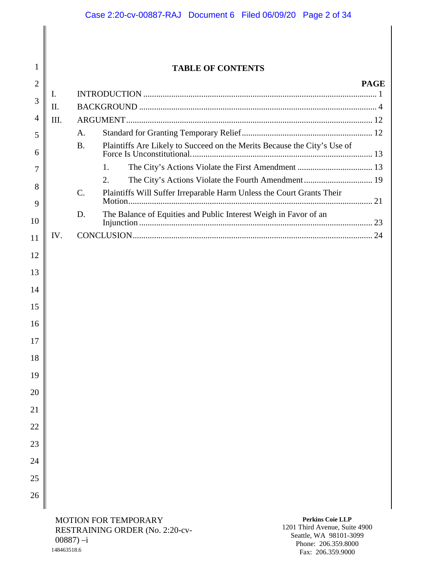# **TABLE OF CONTENTS**

| $\overline{2}$ |      |                 |                                                                          | <b>PAGE</b> |
|----------------|------|-----------------|--------------------------------------------------------------------------|-------------|
| 3              | I.   |                 |                                                                          |             |
|                | II.  |                 |                                                                          |             |
| 4              | III. |                 |                                                                          |             |
| 5              |      | A.              |                                                                          |             |
| 6              |      | <b>B.</b>       | Plaintiffs Are Likely to Succeed on the Merits Because the City's Use of |             |
| 7              |      |                 | 1.                                                                       |             |
|                |      |                 | The City's Actions Violate the Fourth Amendment 19<br>2.                 |             |
| 8<br>9         |      | $\mathcal{C}$ . | Plaintiffs Will Suffer Irreparable Harm Unless the Court Grants Their    |             |
| 10             |      | D.              | The Balance of Equities and Public Interest Weigh in Favor of an         |             |
| 11             | IV.  |                 |                                                                          |             |
| 12             |      |                 |                                                                          |             |
|                |      |                 |                                                                          |             |
| 13             |      |                 |                                                                          |             |
| 14             |      |                 |                                                                          |             |
| 15             |      |                 |                                                                          |             |
| 16             |      |                 |                                                                          |             |
| 17             |      |                 |                                                                          |             |
| 18             |      |                 |                                                                          |             |
| 19             |      |                 |                                                                          |             |
| 20             |      |                 |                                                                          |             |
| 21             |      |                 |                                                                          |             |
| 22             |      |                 |                                                                          |             |
| 23             |      |                 |                                                                          |             |
|                |      |                 |                                                                          |             |
| 24             |      |                 |                                                                          |             |

25 26

1

MOTION FOR TEMPORARY RESTRAINING ORDER (No. 2:20-cv-00887) –i 148463518.6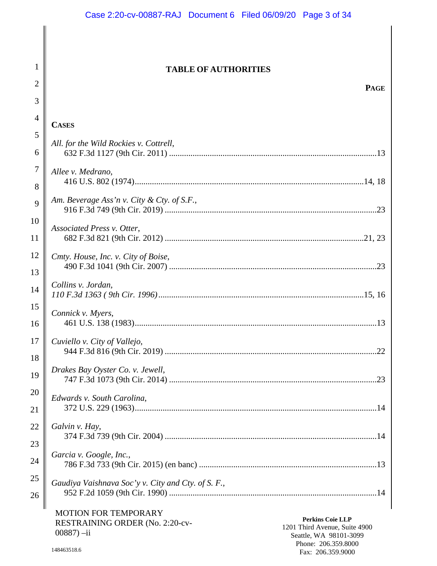#### **TABLE OF AUTHORITIES**

| $\overline{4}$ | <b>CASES</b>                                       |
|----------------|----------------------------------------------------|
| 5<br>6         | All. for the Wild Rockies v. Cottrell,             |
| $\overline{7}$ | Allee v. Medrano,                                  |
| 8              |                                                    |
| 9              | Am. Beverage Ass'n v. City & Cty. of S.F.,         |
| 10             | Associated Press v. Otter,                         |
| 11             |                                                    |
| 12             | Cmty. House, Inc. v. City of Boise,                |
| 13             |                                                    |
| 14             | Collins v. Jordan,                                 |
| 15             | Connick v. Myers,                                  |
| 16             |                                                    |
| 17             | Cuviello v. City of Vallejo,                       |
| 18             |                                                    |
| 19             | Drakes Bay Oyster Co. v. Jewell,                   |
| 20             | Edwards v. South Carolina,                         |
| 21             |                                                    |
| 22             | Galvin v. Hay,                                     |
| 23             |                                                    |
| 24             | Garcia v. Google, Inc.,                            |
| 25             | Gaudiya Vaishnava Soc'y v. City and Cty. of S. F., |
| 26             |                                                    |
|                |                                                    |

MOTION FOR TEMPORARY RESTRAINING ORDER (No. 2:20-cv-00887) –ii

**Perkins Coie LLP** 1201 Third Avenue, Suite 4900 Seattle, WA 98101-3099 Phone: 206.359.8000 Fax: 206.359.9000

1

2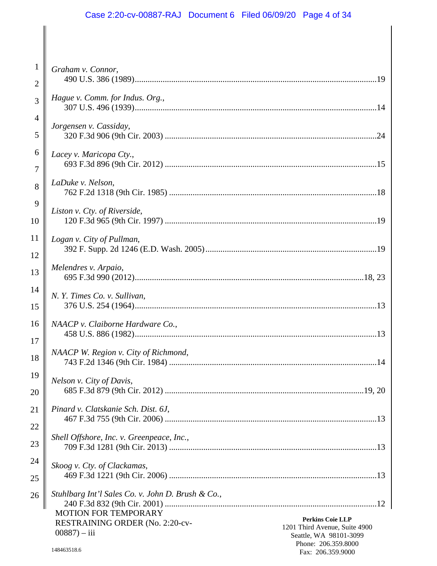# Case 2:20-cv-00887-RAJ Document 6 Filed 06/09/20 Page 4 of 34

 $\parallel$ 

| $\mathbf{1}$   | Graham v. Connor,                                                                         |
|----------------|-------------------------------------------------------------------------------------------|
| $\overline{2}$ | Hague v. Comm. for Indus. Org.,                                                           |
| $\overline{3}$ |                                                                                           |
| $\overline{4}$ | Jorgensen v. Cassiday,                                                                    |
| 5              |                                                                                           |
| 6              | Lacey v. Maricopa Cty.,                                                                   |
| $\overline{7}$ |                                                                                           |
| 8              | LaDuke v. Nelson,                                                                         |
| 9              | Liston v. Cty. of Riverside,                                                              |
| 10             |                                                                                           |
| 11             | Logan v. City of Pullman,                                                                 |
| 12             |                                                                                           |
| 13             | Melendres v. Arpaio,                                                                      |
| 14             | N. Y. Times Co. v. Sullivan,                                                              |
| 15             |                                                                                           |
| 16             | NAACP v. Claiborne Hardware Co.,                                                          |
| 17             |                                                                                           |
| 18             | NAACP W. Region v. City of Richmond,                                                      |
| 19             | Nelson v. City of Davis,                                                                  |
| 20             |                                                                                           |
| 21             | Pinard v. Clatskanie Sch. Dist. 6J,                                                       |
| 22             |                                                                                           |
| 23             | Shell Offshore, Inc. v. Greenpeace, Inc.,                                                 |
| 24             | Skoog v. Cty. of Clackamas,                                                               |
| 25             |                                                                                           |
| 26             | Stuhlbarg Int'l Sales Co. v. John D. Brush & Co.,                                         |
|                | <b>MOTION FOR TEMPORARY</b><br><b>Perkins Coie LLP</b><br>RESTRAINING ORDER (No. 2:20-cv- |
|                | 1201 Third Avenue, Suite 4900<br>$00887 - iii$<br>Seattle, WA 98101-3099                  |
|                | Phone: 206.359.8000<br>148463518.6<br>Fax: 206.359.9000                                   |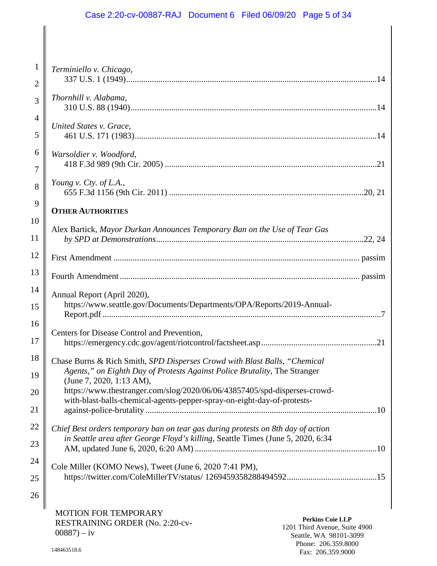# Case 2:20-cv-00887-RAJ Document 6 Filed 06/09/20 Page 5 of 34

| $\mathbf{1}$   | Terminiello v. Chicago,                                                                                                                                             |
|----------------|---------------------------------------------------------------------------------------------------------------------------------------------------------------------|
| $\overline{2}$ |                                                                                                                                                                     |
| 3              | Thornhill v. Alabama,                                                                                                                                               |
| $\overline{4}$ | United States v. Grace,                                                                                                                                             |
| 5              |                                                                                                                                                                     |
| 6              | Warsoldier v. Woodford,                                                                                                                                             |
| 7              |                                                                                                                                                                     |
| 8              | Young v. Cty. of L.A.,                                                                                                                                              |
| 9              | <b>OTHER AUTHORITIES</b>                                                                                                                                            |
| 10             |                                                                                                                                                                     |
| 11             | Alex Bartick, Mayor Durkan Announces Temporary Ban on the Use of Tear Gas                                                                                           |
| 12             |                                                                                                                                                                     |
| 13             |                                                                                                                                                                     |
| 14             | Annual Report (April 2020),                                                                                                                                         |
| 15             | https://www.seattle.gov/Documents/Departments/OPA/Reports/2019-Annual-                                                                                              |
| 16             | Centers for Disease Control and Prevention,                                                                                                                         |
| 17             |                                                                                                                                                                     |
| 18             | Chase Burns & Rich Smith, SPD Disperses Crowd with Blast Balls, "Chemical                                                                                           |
| 19             | Agents," on Eighth Day of Protests Against Police Brutality, The Stranger<br>(June 7, 2020, 1:13 AM),                                                               |
| 20             | https://www.thestranger.com/slog/2020/06/06/43857405/spd-disperses-crowd-                                                                                           |
| 21             | with-blast-balls-chemical-agents-pepper-spray-on-eight-day-of-protests-                                                                                             |
| 22             |                                                                                                                                                                     |
|                | Chief Best orders temporary ban on tear gas during protests on 8th day of action<br>in Seattle area after George Floyd's killing, Seattle Times (June 5, 2020, 6:34 |
| 23             |                                                                                                                                                                     |
| 24             | Cole Miller (KOMO News), Tweet (June 6, 2020 7:41 PM),                                                                                                              |
| 25             |                                                                                                                                                                     |
| 26             |                                                                                                                                                                     |
|                |                                                                                                                                                                     |

MOTION FOR TEMPORARY RESTRAINING ORDER (No. 2:20-cv- $00887 - iy$ 

**Perkins Coie LLP** 1201 Third Avenue, Suite 4900 Seattle, WA 98101-3099 Phone: 206.359.8000 Fax: 206.359.9000

 $\parallel$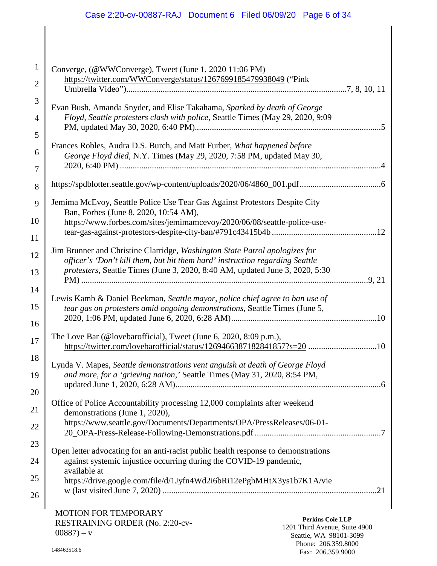# Case 2:20-cv-00887-RAJ Document 6 Filed 06/09/20 Page 6 of 34

| $\mathbf{1}$   | Converge, (@WWConverge), Tweet (June 1, 2020 11:06 PM)                                                                                                                   |
|----------------|--------------------------------------------------------------------------------------------------------------------------------------------------------------------------|
| $\overline{2}$ | https://twitter.com/WWConverge/status/1267699185479938049 ("Pink                                                                                                         |
| 3              | Evan Bush, Amanda Snyder, and Elise Takahama, Sparked by death of George                                                                                                 |
| $\overline{4}$ | Floyd, Seattle protesters clash with police, Seattle Times (May 29, 2020, 9:09                                                                                           |
| 5              |                                                                                                                                                                          |
| 6              | Frances Robles, Audra D.S. Burch, and Matt Furber, What happened before<br>George Floyd died, N.Y. Times (May 29, 2020, 7:58 PM, updated May 30,                         |
| 7              |                                                                                                                                                                          |
| 8              |                                                                                                                                                                          |
| 9              | Jemima McEvoy, Seattle Police Use Tear Gas Against Protestors Despite City<br>Ban, Forbes (June 8, 2020, 10:54 AM),                                                      |
| 10             | https://www.forbes.com/sites/jemimamcevoy/2020/06/08/seattle-police-use-                                                                                                 |
| 11             |                                                                                                                                                                          |
| 12             | Jim Brunner and Christine Clarridge, Washington State Patrol apologizes for<br>officer's 'Don't kill them, but hit them hard' instruction regarding Seattle              |
| 13             | protesters, Seattle Times (June 3, 2020, 8:40 AM, updated June 3, 2020, 5:30                                                                                             |
| 14             |                                                                                                                                                                          |
| 15             | Lewis Kamb & Daniel Beekman, Seattle mayor, police chief agree to ban use of<br>tear gas on protesters amid ongoing demonstrations, Seattle Times (June 5,               |
| 16             |                                                                                                                                                                          |
| 17             | The Love Bar (@lovebarofficial), Tweet (June 6, 2020, 8:09 p.m.),<br>https://twitter.com/lovebarofficial/status/1269466387182841857?s=20 10                              |
| 18             | Lynda V. Mapes, Seattle demonstrations vent anguish at death of George Floyd                                                                                             |
| 19             | and more, for a 'grieving nation,' Seattle Times (May 31, 2020, 8:54 PM,                                                                                                 |
| 20             |                                                                                                                                                                          |
| 21             | Office of Police Accountability processing 12,000 complaints after weekend<br>demonstrations (June 1, 2020),                                                             |
| 22             | https://www.seattle.gov/Documents/Departments/OPA/PressReleases/06-01-                                                                                                   |
| 23             |                                                                                                                                                                          |
| 24             | Open letter advocating for an anti-racist public health response to demonstrations<br>against systemic injustice occurring during the COVID-19 pandemic,<br>available at |
| 25             | https://drive.google.com/file/d/1Jyfn4Wd2i6bRi12ePghMHtX3ys1b7K1A/vie                                                                                                    |
| 26             |                                                                                                                                                                          |
|                |                                                                                                                                                                          |

MOTION FOR TEMPORARY RESTRAINING ORDER (No. 2:20-cv- $00887 - v$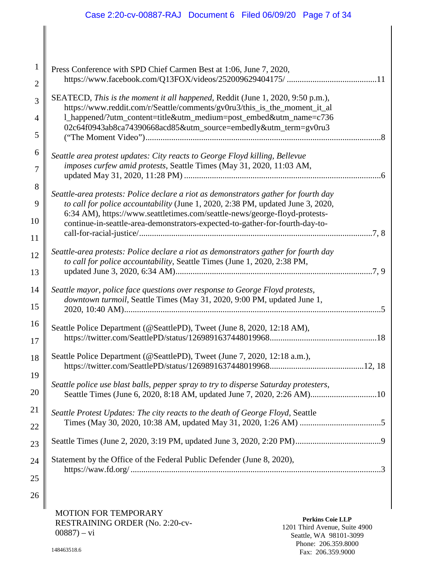| $\mathbf{1}$   | Press Conference with SPD Chief Carmen Best at 1:06, June 7, 2020,                                                                                              |
|----------------|-----------------------------------------------------------------------------------------------------------------------------------------------------------------|
| $\overline{2}$ |                                                                                                                                                                 |
| 3              | SEATECD, This is the moment it all happened, Reddit (June 1, 2020, 9:50 p.m.),<br>https://www.reddit.com/r/Seattle/comments/gv0ru3/this_is_the_moment_it_al     |
| $\overline{4}$ | 1_happened/?utm_content=title&utm_medium=post_embed&utm_name=c736                                                                                               |
| 5              | 02c64f0943ab8ca74390668acd85&utm_source=embedly&utm_term=gv0ru3                                                                                                 |
| 6              | Seattle area protest updates: City reacts to George Floyd killing, Bellevue                                                                                     |
| 7              | imposes curfew amid protests, Seattle Times (May 31, 2020, 11:03 AM,                                                                                            |
| 8              | Seattle-area protests: Police declare a riot as demonstrators gather for fourth day                                                                             |
| 9              | to call for police accountability (June 1, 2020, 2:38 PM, updated June 3, 2020,                                                                                 |
| 10             | 6:34 AM), https://www.seattletimes.com/seattle-news/george-floyd-protests-<br>continue-in-seattle-area-demonstrators-expected-to-gather-for-fourth-day-to-      |
| 11             |                                                                                                                                                                 |
| 12             | Seattle-area protests: Police declare a riot as demonstrators gather for fourth day<br>to call for police accountability, Seattle Times (June 1, 2020, 2:38 PM, |
| 13             |                                                                                                                                                                 |
| 14             | Seattle mayor, police face questions over response to George Floyd protests,                                                                                    |
| 15             | downtown turmoil, Seattle Times (May 31, 2020, 9:00 PM, updated June 1,                                                                                         |
| 16             | Seattle Police Department (@SeattlePD), Tweet (June 8, 2020, 12:18 AM),                                                                                         |
| 17             |                                                                                                                                                                 |
| 18             | Seattle Police Department (@SeattlePD), Tweet (June 7, 2020, 12:18 a.m.),                                                                                       |
| 19             |                                                                                                                                                                 |
| 20             | Seattle police use blast balls, pepper spray to try to disperse Saturday protesters,<br>Seattle Times (June 6, 2020, 8:18 AM, updated June 7, 2020, 2:26 AM)10  |
| 21             | Seattle Protest Updates: The city reacts to the death of George Floyd, Seattle                                                                                  |
| 22             |                                                                                                                                                                 |
| 23             |                                                                                                                                                                 |
| 24             | Statement by the Office of the Federal Public Defender (June 8, 2020),                                                                                          |
| 25             |                                                                                                                                                                 |

MOTION FOR TEMPORARY RESTRAINING ORDER (No. 2:20-cv- $00887$ ) – vi

**Perkins Coie LLP** 1201 Third Avenue, Suite 4900 Seattle, WA 98101-3099 Phone: 206.359.8000 Fax: 206.359.9000

26

II

∥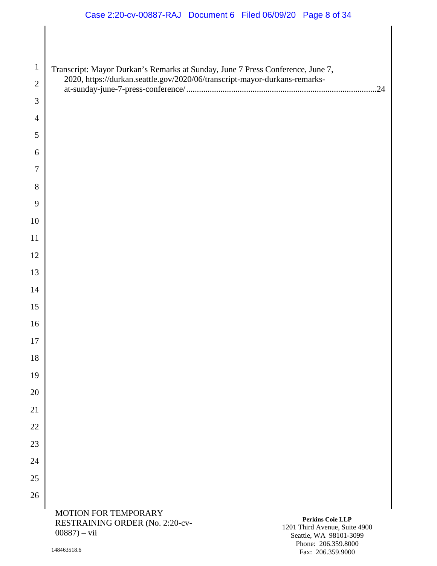# Case 2:20-cv-00887-RAJ Document 6 Filed 06/09/20 Page 8 of 34

| $\mathbf{1}$   | Transcript: Mayor Durkan's Remarks at Sunday, June 7 Press Conference, June 7, |                                                                            |
|----------------|--------------------------------------------------------------------------------|----------------------------------------------------------------------------|
| $\overline{2}$ |                                                                                |                                                                            |
| 3              |                                                                                |                                                                            |
| 4              |                                                                                |                                                                            |
| 5              |                                                                                |                                                                            |
| 6              |                                                                                |                                                                            |
| 7              |                                                                                |                                                                            |
| 8              |                                                                                |                                                                            |
| 9              |                                                                                |                                                                            |
| 10             |                                                                                |                                                                            |
| 11             |                                                                                |                                                                            |
| 12             |                                                                                |                                                                            |
| 13             |                                                                                |                                                                            |
| 14             |                                                                                |                                                                            |
| 15             |                                                                                |                                                                            |
| 16             |                                                                                |                                                                            |
| 17             |                                                                                |                                                                            |
| 18             |                                                                                |                                                                            |
| 19             |                                                                                |                                                                            |
| 20             |                                                                                |                                                                            |
| 21             |                                                                                |                                                                            |
| 22             |                                                                                |                                                                            |
| 23             |                                                                                |                                                                            |
| 24             |                                                                                |                                                                            |
| 25             |                                                                                |                                                                            |
| 26             |                                                                                |                                                                            |
|                | MOTION FOR TEMPORARY<br>RESTRAINING ORDER (No. 2:20-cv-<br>$00887$ ) – vii     | Perkins Coie LLP<br>1201 Third Avenue, Suite 4900<br>Seattle WA 98101-3099 |

Seattle, WA 98101-3099 Phone: 206.359.8000 Fax: 206.359.9000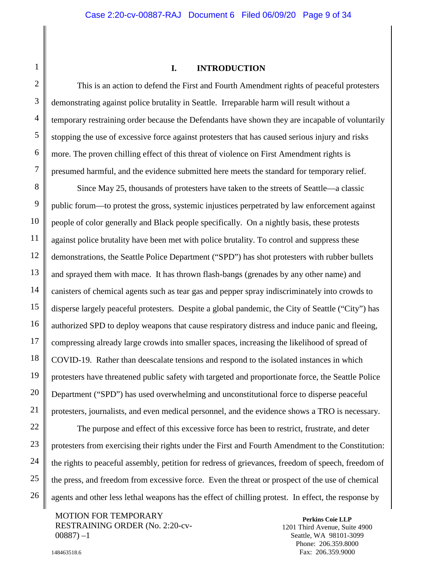#### <span id="page-8-2"></span><span id="page-8-1"></span>**I. INTRODUCTION**

<span id="page-8-0"></span>This is an action to defend the First and Fourth Amendment rights of peaceful protesters demonstrating against police brutality in Seattle. Irreparable harm will result without a temporary restraining order because the Defendants have shown they are incapable of voluntarily stopping the use of excessive force against protesters that has caused serious injury and risks more. The proven chilling effect of this threat of violence on First Amendment rights is presumed harmful, and the evidence submitted here meets the standard for temporary relief.

Since May 25, thousands of protesters have taken to the streets of Seattle—a classic public forum—to protest the gross, systemic injustices perpetrated by law enforcement against people of color generally and Black people specifically. On a nightly basis, these protests against police brutality have been met with police brutality. To control and suppress these demonstrations, the Seattle Police Department ("SPD") has shot protesters with rubber bullets and sprayed them with mace. It has thrown flash-bangs (grenades by any other name) and canisters of chemical agents such as tear gas and pepper spray indiscriminately into crowds to disperse largely peaceful protesters. Despite a global pandemic, the City of Seattle ("City") has authorized SPD to deploy weapons that cause respiratory distress and induce panic and fleeing, compressing already large crowds into smaller spaces, increasing the likelihood of spread of COVID-19. Rather than deescalate tensions and respond to the isolated instances in which protesters have threatened public safety with targeted and proportionate force, the Seattle Police Department ("SPD") has used overwhelming and unconstitutional force to disperse peaceful protesters, journalists, and even medical personnel, and the evidence shows a TRO is necessary.

The purpose and effect of this excessive force has been to restrict, frustrate, and deter protesters from exercising their rights under the First and Fourth Amendment to the Constitution: the rights to peaceful assembly, petition for redress of grievances, freedom of speech, freedom of the press, and freedom from excessive force. Even the threat or prospect of the use of chemical agents and other less lethal weapons has the effect of chilling protest. In effect, the response by

MOTION FOR TEMPORARY RESTRAINING ORDER (No. 2:20-cv- $00887 - 1$ 

**Perkins Coie LLP** 1201 Third Avenue, Suite 4900 Seattle, WA 98101-3099 Phone: 206.359.8000 Fax: 206.359.9000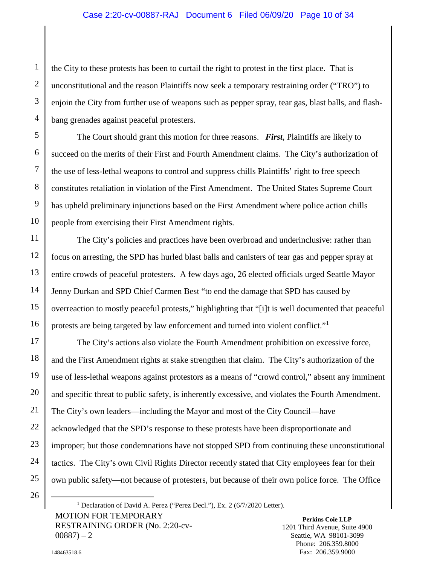# Case 2:20-cv-00887-RAJ Document 6 Filed 06/09/20 Page 10 of 34

the City to these protests has been to curtail the right to protest in the first place. That is unconstitutional and the reason Plaintiffs now seek a temporary restraining order ("TRO") to enjoin the City from further use of weapons such as pepper spray, tear gas, blast balls, and flashbang grenades against peaceful protesters.

The Court should grant this motion for three reasons. *First*, Plaintiffs are likely to succeed on the merits of their First and Fourth Amendment claims. The City's authorization of the use of less-lethal weapons to control and suppress chills Plaintiffs' right to free speech constitutes retaliation in violation of the First Amendment. The United States Supreme Court has upheld preliminary injunctions based on the First Amendment where police action chills people from exercising their First Amendment rights.

The City's policies and practices have been overbroad and underinclusive: rather than focus on arresting, the SPD has hurled blast balls and canisters of tear gas and pepper spray at entire crowds of peaceful protesters. A few days ago, 26 elected officials urged Seattle Mayor Jenny Durkan and SPD Chief Carmen Best "to end the damage that SPD has caused by overreaction to mostly peaceful protests," highlighting that "[i]t is well documented that peaceful protests are being targeted by law enforcement and turned into violent conflict."<sup>[1](#page-9-0)</sup>

The City's actions also violate the Fourth Amendment prohibition on excessive force, and the First Amendment rights at stake strengthen that claim. The City's authorization of the use of less-lethal weapons against protestors as a means of "crowd control," absent any imminent and specific threat to public safety, is inherently excessive, and violates the Fourth Amendment. The City's own leaders—including the Mayor and most of the City Council—have acknowledged that the SPD's response to these protests have been disproportionate and improper; but those condemnations have not stopped SPD from continuing these unconstitutional tactics. The City's own Civil Rights Director recently stated that City employees fear for their own public safety—not because of protesters, but because of their own police force. The Office

<span id="page-9-0"></span>MOTION FOR TEMPORARY RESTRAINING ORDER (No. 2:20-cv- $00887 - 2$ <sup>1</sup> Declaration of David A. Perez ("Perez Decl."), Ex. 2 (6/7/2020 Letter).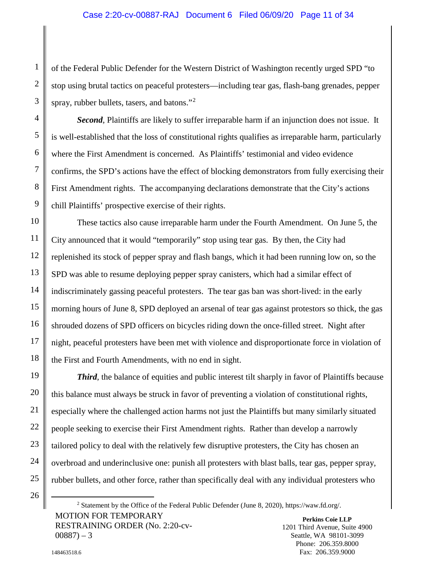# Case 2:20-cv-00887-RAJ Document 6 Filed 06/09/20 Page 11 of 34

of the Federal Public Defender for the Western District of Washington recently urged SPD "to stop using brutal tactics on peaceful protesters—including tear gas, flash-bang grenades, pepper spray, rubber bullets, tasers, and batons."<sup>[2](#page-10-1)</sup>

**Second**, Plaintiffs are likely to suffer irreparable harm if an injunction does not issue. It is well-established that the loss of constitutional rights qualifies as irreparable harm, particularly where the First Amendment is concerned. As Plaintiffs' testimonial and video evidence confirms, the SPD's actions have the effect of blocking demonstrators from fully exercising their First Amendment rights. The accompanying declarations demonstrate that the City's actions chill Plaintiffs' prospective exercise of their rights.

These tactics also cause irreparable harm under the Fourth Amendment. On June 5, the City announced that it would "temporarily" stop using tear gas. By then, the City had replenished its stock of pepper spray and flash bangs, which it had been running low on, so the SPD was able to resume deploying pepper spray canisters, which had a similar effect of indiscriminately gassing peaceful protesters. The tear gas ban was short-lived: in the early morning hours of June 8, SPD deployed an arsenal of tear gas against protestors so thick, the gas shrouded dozens of SPD officers on bicycles riding down the once-filled street. Night after night, peaceful protesters have been met with violence and disproportionate force in violation of the First and Fourth Amendments, with no end in sight.

**Third**, the balance of equities and public interest tilt sharply in favor of Plaintiffs because this balance must always be struck in favor of preventing a violation of constitutional rights, especially where the challenged action harms not just the Plaintiffs but many similarly situated people seeking to exercise their First Amendment rights. Rather than develop a narrowly tailored policy to deal with the relatively few disruptive protesters, the City has chosen an overbroad and underinclusive one: punish all protesters with blast balls, tear gas, pepper spray, rubber bullets, and other force, rather than specifically deal with any individual protesters who

<span id="page-10-1"></span><span id="page-10-0"></span>**Perkins Coie LLP** MOTION FOR TEMPORARY RESTRAINING ORDER (No. 2:20-cv- $00887 - 3$ 2 Statement by the Office of the Federal Public Defender (June 8, 2020), https://waw.fd.org/.

1201 Third Avenue, Suite 4900 Seattle, WA 98101-3099 Phone: 206.359.8000 Fax: 206.359.9000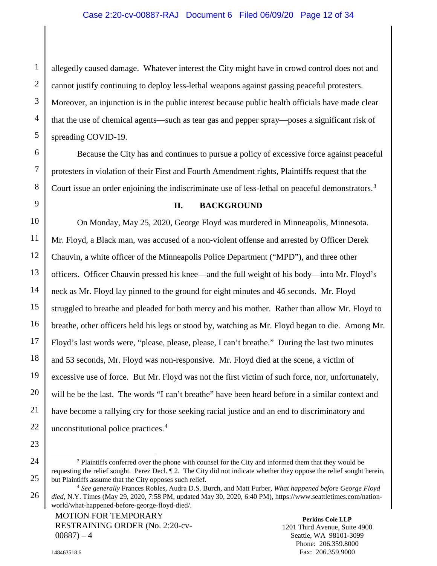## Case 2:20-cv-00887-RAJ Document 6 Filed 06/09/20 Page 12 of 34

allegedly caused damage. Whatever interest the City might have in crowd control does not and cannot justify continuing to deploy less-lethal weapons against gassing peaceful protesters. Moreover, an injunction is in the public interest because public health officials have made clear that the use of chemical agents—such as tear gas and pepper spray—poses a significant risk of spreading COVID-19.

Because the City has and continues to pursue a policy of excessive force against peaceful protesters in violation of their First and Fourth Amendment rights, Plaintiffs request that the Court issue an order enjoining the indiscriminate use of less-lethal on peaceful demonstrators.<sup>[3](#page-11-2)</sup>

#### **II. BACKGROUND**

<span id="page-11-0"></span>On Monday, May 25, 2020, George Floyd was murdered in Minneapolis, Minnesota. Mr. Floyd, a Black man, was accused of a non-violent offense and arrested by Officer Derek Chauvin, a white officer of the Minneapolis Police Department ("MPD"), and three other officers. Officer Chauvin pressed his knee—and the full weight of his body—into Mr. Floyd's neck as Mr. Floyd lay pinned to the ground for eight minutes and 46 seconds. Mr. Floyd struggled to breathe and pleaded for both mercy and his mother. Rather than allow Mr. Floyd to breathe, other officers held his legs or stood by, watching as Mr. Floyd began to die. Among Mr. Floyd's last words were, "please, please, please, I can't breathe." During the last two minutes and 53 seconds, Mr. Floyd was non-responsive. Mr. Floyd died at the scene, a victim of excessive use of force. But Mr. Floyd was not the first victim of such force, nor, unfortunately, will he be the last. The words "I can't breathe" have been heard before in a similar context and have become a rallying cry for those seeking racial justice and an end to discriminatory and unconstitutional police practices. [4](#page-11-3)

<span id="page-11-1"></span>MOTION FOR TEMPORARY RESTRAINING ORDER (No. 2:20-cv- $00887 - 4$ 

**Perkins Coie LLP** 1201 Third Avenue, Suite 4900 Seattle, WA 98101-3099 Phone: 206.359.8000 Fax: 206.359.9000

<span id="page-11-2"></span><sup>&</sup>lt;sup>3</sup> Plaintiffs conferred over the phone with counsel for the City and informed them that they would be requesting the relief sought. Perez Decl. ¶ 2. The City did not indicate whether they oppose the relief sought herein, but Plaintiffs assume that the City opposes such relief.

<span id="page-11-3"></span><sup>4</sup> *See generally* Frances Robles, Audra D.S. Burch, and Matt Furber, *What happened before George Floyd died*, N.Y. Times (May 29, 2020, 7:58 PM, updated May 30, 2020, 6:40 PM)[, https://www.seattletimes.com/nation](https://www.seattletimes.com/nation-world/what-happened-before-george-floyd-died/)[world/what-happened-before-george-floyd-died/.](https://www.seattletimes.com/nation-world/what-happened-before-george-floyd-died/)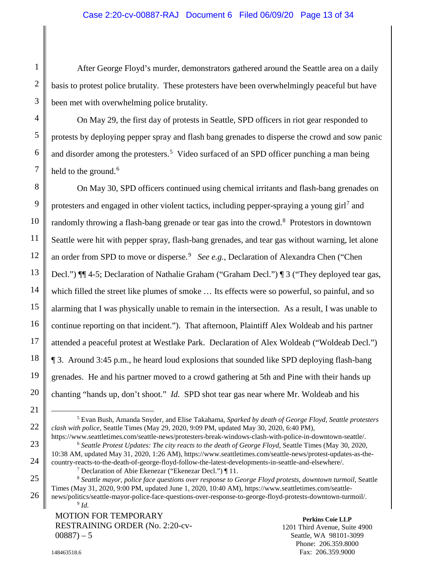# Case 2:20-cv-00887-RAJ Document 6 Filed 06/09/20 Page 13 of 34

After George Floyd's murder, demonstrators gathered around the Seattle area on a daily basis to protest police brutality. These protesters have been overwhelmingly peaceful but have been met with overwhelming police brutality.

On May 29, the first day of protests in Seattle, SPD officers in riot gear responded to protests by deploying pepper spray and flash bang grenades to disperse the crowd and sow panic and disorder among the protesters.<sup>[5](#page-12-3)</sup> Video surfaced of an SPD officer punching a man being held to the ground.<sup>[6](#page-12-4)</sup>

On May 30, SPD officers continued using chemical irritants and flash-bang grenades on protesters and engaged in other violent tactics, including pepper-spraying a young girl<sup>[7](#page-12-5)</sup> and randomly throwing a flash-bang grenade or tear gas into the crowd.<sup>[8](#page-12-6)</sup> Protestors in downtown Seattle were hit with pepper spray, flash-bang grenades, and tear gas without warning, let alone an order from SPD to move or disperse.<sup>[9](#page-12-7)</sup> *See e.g.*, Declaration of Alexandra Chen ("Chen Decl.") ¶¶ 4-5; Declaration of Nathalie Graham ("Graham Decl.") ¶ 3 ("They deployed tear gas, which filled the street like plumes of smoke  $\dots$  Its effects were so powerful, so painful, and so alarming that I was physically unable to remain in the intersection. As a result, I was unable to continue reporting on that incident."). That afternoon, Plaintiff Alex Woldeab and his partner attended a peaceful protest at Westlake Park. Declaration of Alex Woldeab ("Woldeab Decl.") ¶ 3. Around 3:45 p.m., he heard loud explosions that sounded like SPD deploying flash-bang grenades. He and his partner moved to a crowd gathering at 5th and Pine with their hands up chanting "hands up, don't shoot." *Id.* SPD shot tear gas near where Mr. Woldeab and his

<span id="page-12-4"></span><span id="page-12-2"></span>https://www.seattletimes.com/seattle-news/protesters-break-windows-clash-with-police-in-downtown-seattle/. <sup>6</sup> *Seattle Protest Updates: The city reacts to the death of George Floyd*, Seattle Times (May 30, 2020, 10:38 AM, updated May 31, 2020, 1:26 AM), https://www.seattletimes.com/seattle-news/protest-updates-as-the-

<span id="page-12-7"></span>MOTION FOR TEMPORARY RESTRAINING ORDER (No. 2:20-cv- $00887 - 5$ 

<span id="page-12-3"></span><span id="page-12-0"></span> <sup>5</sup> Evan Bush, Amanda Snyder, and Elise Takahama, *Sparked by death of George Floyd, Seattle protesters clash with police*, Seattle Times (May 29, 2020, 9:09 PM, updated May 30, 2020, 6:40 PM),

<span id="page-12-5"></span>country-reacts-to-the-death-of-george-floyd-follow-the-latest-developments-in-seattle-and-elsewhere/. <sup>7</sup> Declaration of Abie Ekenezar ("Ekenezar Decl.") ¶ 11.

<span id="page-12-6"></span><span id="page-12-1"></span><sup>8</sup> *Seattle mayor, police face questions over response to George Floyd protests, downtown turmoil*, Seattle Times (May 31, 2020, 9:00 PM, updated June 1, 2020, 10:40 AM), https://www.seattletimes.com/seattlenews/politics/seattle-mayor-police-face-questions-over-response-to-george-floyd-protests-downtown-turmoil/. <sup>9</sup> *Id.*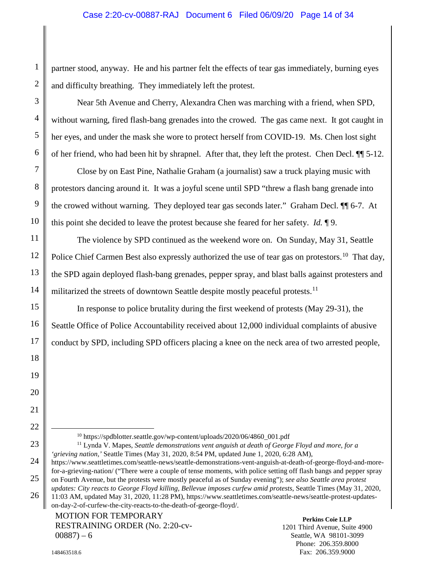partner stood, anyway. He and his partner felt the effects of tear gas immediately, burning eyes and difficulty breathing. They immediately left the protest.

Near 5th Avenue and Cherry, Alexandra Chen was marching with a friend, when SPD, without warning, fired flash-bang grenades into the crowed. The gas came next. It got caught in her eyes, and under the mask she wore to protect herself from COVID-19. Ms. Chen lost sight of her friend, who had been hit by shrapnel. After that, they left the protest. Chen Decl. ¶¶ 5-12.

Close by on East Pine, Nathalie Graham (a journalist) saw a truck playing music with protestors dancing around it. It was a joyful scene until SPD "threw a flash bang grenade into the crowed without warning. They deployed tear gas seconds later." Graham Decl. ¶¶ 6-7. At this point she decided to leave the protest because she feared for her safety. *Id.* ¶ 9.

The violence by SPD continued as the weekend wore on. On Sunday, May 31, Seattle Police Chief Carmen Best also expressly authorized the use of tear gas on protestors.<sup>[10](#page-13-3)</sup> That day, the SPD again deployed flash-bang grenades, pepper spray, and blast balls against protesters and militarized the streets of downtown Seattle despite mostly peaceful protests.<sup>11</sup>

In response to police brutality during the first weekend of protests (May 29-31), the Seattle Office of Police Accountability received about 12,000 individual complaints of abusive conduct by SPD, including SPD officers placing a knee on the neck area of two arrested people,

<span id="page-13-2"></span><span id="page-13-1"></span><span id="page-13-0"></span>10 https://spdblotter.seattle.gov/wp-content/uploads/2020/06/4860\_001.pdf

<span id="page-13-3"></span><sup>11</sup> Lynda V. Mapes, *Seattle demonstrations vent anguish at death of George Floyd and more, for a 'grieving nation,'* Seattle Times (May 31, 2020, 8:54 PM, updated June 1, 2020, 6:28 AM),

<span id="page-13-4"></span>https://www.seattletimes.com/seattle-news/seattle-demonstrations-vent-anguish-at-death-of-george-floyd-and-morefor-a-grieving-nation/ ("There were a couple of tense moments, with police setting off flash bangs and pepper spray on Fourth Avenue, but the protests were mostly peaceful as of Sunday evening"); *see also Seattle area protest updates: City reacts to George Floyd killing, Bellevue imposes curfew amid protests*, Seattle Times (May 31, 2020, 11:03 AM, updated May 31, 2020, 11:28 PM), https://www.seattletimes.com/seattle-news/seattle-protest-updateson-day-2-of-curfew-the-city-reacts-to-the-death-of-george-floyd/.

MOTION FOR TEMPORARY RESTRAINING ORDER (No. 2:20-cv- $00887 - 6$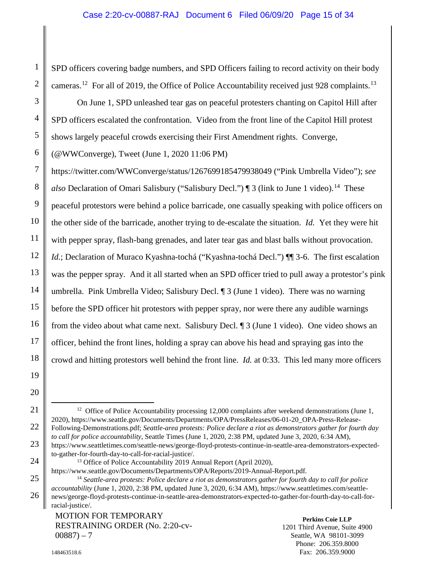SPD officers covering badge numbers, and SPD Officers failing to record activity on their body cameras.<sup>[12](#page-14-5)</sup> For all of 2019, the Office of Police Accountability received just 928 complaints.<sup>[13](#page-14-6)</sup>

<span id="page-14-1"></span>On June 1, SPD unleashed tear gas on peaceful protesters chanting on Capitol Hill after SPD officers escalated the confrontation. Video from the front line of the Capitol Hill protest shows largely peaceful crowds exercising their First Amendment rights. Converge,

(@WWConverge), Tweet (June 1, 2020 11:06 PM)

https://twitter.com/WWConverge/status/1267699185479938049 ("Pink Umbrella Video"); *see also* Declaration of Omari Salisbury ("Salisbury Decl.") | 3 (link to June 1 video).<sup>[14](#page-14-7)</sup> These peaceful protestors were behind a police barricade, one casually speaking with police officers on the other side of the barricade, another trying to de-escalate the situation. *Id.* Yet they were hit with pepper spray, flash-bang grenades, and later tear gas and blast balls without provocation. *Id.*; Declaration of Muraco Kyashna-tochá ("Kyashna-tochá Decl.") ¶ 3-6. The first escalation was the pepper spray. And it all started when an SPD officer tried to pull away a protestor's pink umbrella. Pink Umbrella Video; Salisbury Decl. ¶ 3 (June 1 video). There was no warning before the SPD officer hit protestors with pepper spray, nor were there any audible warnings from the video about what came next. Salisbury Decl. ¶ 3 (June 1 video). One video shows an officer, behind the front lines, holding a spray can above his head and spraying gas into the crowd and hitting protestors well behind the front line. *Id.* at 0:33. This led many more officers

19 20

<span id="page-14-5"></span>21

22

23

<span id="page-14-7"></span><span id="page-14-6"></span>24

1

2

3

4

5

6

7

8

9

10

11

12

13

14

15

16

17

18

<span id="page-14-2"></span><sup>12</sup> Office of Police Accountability processing 12,000 complaints after weekend demonstrations (June 1, 2020), https://www.seattle.gov/Documents/Departments/OPA/PressReleases/06-01-20\_OPA-Press-Release-Following-Demonstrations.pdf; *Seattle-area protests: Police declare a riot as demonstrators gather for fourth day to call for police accountability*, Seattle Times (June 1, 2020, 2:38 PM, updated June 3, 2020, 6:34 AM), https://www.seattletimes.com/seattle-news/george-floyd-protests-continue-in-seattle-area-demonstrators-expectedto-gather-for-fourth-day-to-call-for-racial-justice/.

https://www.seattle.gov/Documents/Departments/OPA/Reports/2019-Annual-Report.pdf.

MOTION FOR TEMPORARY RESTRAINING ORDER (No. 2:20-cv- $00887 - 7$ 

<span id="page-14-0"></span>**Perkins Coie LLP** 1201 Third Avenue, Suite 4900 Seattle, WA 98101-3099 Phone: 206.359.8000 Fax: 206.359.9000

148463518.6

<span id="page-14-4"></span><span id="page-14-3"></span><sup>&</sup>lt;sup>13</sup> Office of Police Accountability 2019 Annual Report (April 2020),

<sup>14</sup> *Seattle-area protests: Police declare a riot as demonstrators gather for fourth day to call for police accountability* (June 1, 2020, 2:38 PM, updated June 3, 2020, 6:34 AM), https://www.seattletimes.com/seattlenews/george-floyd-protests-continue-in-seattle-area-demonstrators-expected-to-gather-for-fourth-day-to-call-forracial-justice/.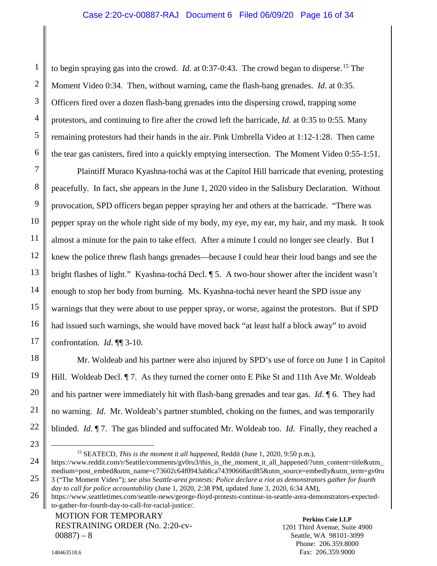<span id="page-15-0"></span>to begin spraying gas into the crowd. *Id.* at 0:37-0:43. The crowd began to disperse.<sup>[15](#page-15-3)</sup> The Moment Video 0:34. Then, without warning, came the flash-bang grenades. *Id*. at 0:35. Officers fired over a dozen flash-bang grenades into the dispersing crowd, trapping some protestors, and continuing to fire after the crowd left the barricade, *Id.* at 0:35 to 0:55. Many remaining protestors had their hands in the air. Pink Umbrella Video at 1:12-1:28. Then came the tear gas canisters, fired into a quickly emptying intersection. The Moment Video 0:55-1:51.

Plaintiff Muraco Kyashna-tochá was at the Capitol Hill barricade that evening, protesting peacefully. In fact, she appears in the June 1, 2020 video in the Salisbury Declaration. Without provocation, SPD officers began pepper spraying her and others at the barricade. "There was pepper spray on the whole right side of my body, my eye, my ear, my hair, and my mask. It took almost a minute for the pain to take effect. After a minute I could no longer see clearly. But I knew the police threw flash bangs grenades—because I could hear their loud bangs and see the bright flashes of light." Kyashna-tochá Decl. ¶ 5. A two-hour shower after the incident wasn't enough to stop her body from burning. Ms. Kyashna-tochá never heard the SPD issue any warnings that they were about to use pepper spray, or worse, against the protestors. But if SPD had issued such warnings, she would have moved back "at least half a block away" to avoid confrontation. *Id*. ¶¶ 3-10.

Mr. Woldeab and his partner were also injured by SPD's use of force on June 1 in Capitol Hill. Woldeab Decl. ¶ 7. As they turned the corner onto E Pike St and 11th Ave Mr. Woldeab and his partner were immediately hit with flash-bang grenades and tear gas. *Id*. ¶ 6. They had no warning. *Id*. Mr. Woldeab's partner stumbled, choking on the fumes, and was temporarily blinded. *Id*. ¶ 7. The gas blinded and suffocated Mr. Woldeab too. *Id*. Finally, they reached a

<span id="page-15-2"></span>MOTION FOR TEMPORARY RESTRAINING ORDER (No. 2:20-cv- $00887 - 8$ 

<span id="page-15-3"></span><span id="page-15-1"></span> <sup>15</sup> SEATECD, *This is the moment it all happened,* Reddit (June 1, 2020, 9:50 p.m.), https://www.reddit.com/r/Seattle/comments/gv0ru3/this\_is\_the\_moment\_it\_all\_happened/?utm\_content=title&utm medium=post\_embed&utm\_name=c73602c64f0943ab8ca74390668acd85&utm\_source=embedly&utm\_term=gv0ru 3 ("The Moment Video"); *see also Seattle-area protests: Police declare a riot as demonstrators gather for fourth* 

*day to call for police accountability* (June 1, 2020, 2:38 PM, updated June 3, 2020, 6:34 AM),

https://www.seattletimes.com/seattle-news/george-floyd-protests-continue-in-seattle-area-demonstrators-expectedto-gather-for-fourth-day-to-call-for-racial-justice/.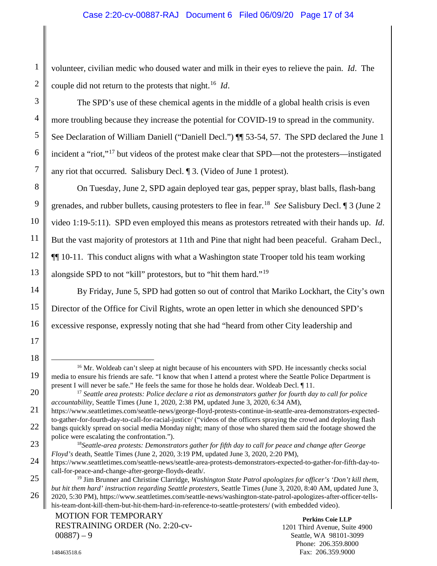volunteer, civilian medic who doused water and milk in their eyes to relieve the pain. *Id*. The couple did not return to the protests that night.[16](#page-16-3) *Id*.

The SPD's use of these chemical agents in the middle of a global health crisis is even more troubling because they increase the potential for COVID-19 to spread in the community. See Declaration of William Daniell ("Daniell Decl.") ¶¶ 53-54, 57. The SPD declared the June 1 incident a "riot,"[17](#page-16-4) but videos of the protest make clear that SPD—not the protesters—instigated any riot that occurred. Salisbury Decl. ¶ 3. (Video of June 1 protest).

On Tuesday, June 2, SPD again deployed tear gas, pepper spray, blast balls, flash-bang grenades, and rubber bullets, causing protesters to flee in fear.[18](#page-16-5) *See* Salisbury Decl. ¶ 3 (June 2 video 1:19-5:11). SPD even employed this means as protestors retreated with their hands up. *Id*. But the vast majority of protestors at 11th and Pine that night had been peaceful. Graham Decl., ¶¶ 10-11. This conduct aligns with what a Washington state Trooper told his team working alongside SPD to not "kill" protestors, but to "hit them hard."[19](#page-16-6)

By Friday, June 5, SPD had gotten so out of control that Mariko Lockhart, the City's own Director of the Office for Civil Rights, wrote an open letter in which she denounced SPD's excessive response, expressly noting that she had "heard from other City leadership and

<span id="page-16-3"></span><sup>&</sup>lt;sup>16</sup> Mr. Woldeab can't sleep at night because of his encounters with SPD. He incessantly checks social media to ensure his friends are safe. "I know that when I attend a protest where the Seattle Police Department is present I will never be safe." He feels the same for those he holds dear. Woldeab Decl. ¶ 11.

<span id="page-16-1"></span><sup>17</sup> *Seattle area protests: Police declare a riot as demonstrators gather for fourth day to call for police accountability*, Seattle Times (June 1, 2020, 2:38 PM, updated June 3, 2020, 6:34 AM),

<span id="page-16-4"></span>https://www.seattletimes.com/seattle-news/george-floyd-protests-continue-in-seattle-area-demonstrators-expectedto-gather-for-fourth-day-to-call-for-racial-justice/ ("videos of the officers spraying the crowd and deploying flash bangs quickly spread on social media Monday night; many of those who shared them said the footage showed the police were escalating the confrontation.").

<span id="page-16-2"></span><sup>18</sup>*Seattle-area protests: Demonstrators gather for fifth day to call for peace and change after George Floyd's* death, Seattle Times (June 2, 2020, 3:19 PM, updated June 3, 2020, 2:20 PM),

<span id="page-16-5"></span>https://www.seattletimes.com/seattle-news/seattle-area-protests-demonstrators-expected-to-gather-for-fifth-day-tocall-for-peace-and-change-after-george-floyds-death/.

<span id="page-16-6"></span><span id="page-16-0"></span><sup>19</sup> Jim Brunner and Christine Clarridge, *Washington State Patrol apologizes for officer's 'Don't kill them, but hit them hard' instruction regarding Seattle protesters*, Seattle Times (June 3, 2020, 8:40 AM, updated June 3, 2020, 5:30 PM), https://www.seattletimes.com/seattle-news/washington-state-patrol-apologizes-after-officer-tellshis-team-dont-kill-them-but-hit-them-hard-in-reference-to-seattle-protesters/ (with embedded video).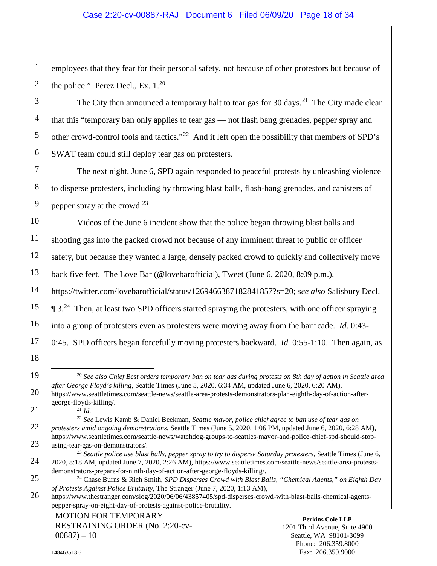employees that they fear for their personal safety, not because of other protestors but because of the police." Perez Decl., Ex.  $1.^{20}$  $1.^{20}$  $1.^{20}$ 

The City then announced a temporary halt to tear gas for 30 days.<sup>[21](#page-17-7)</sup> The City made clear that this "temporary ban only applies to tear gas — not flash bang grenades, pepper spray and other crowd-control tools and tactics."[22](#page-17-8) And it left open the possibility that members of SPD's SWAT team could still deploy tear gas on protesters.

The next night, June 6, SPD again responded to peaceful protests by unleashing violence to disperse protesters, including by throwing blast balls, flash-bang grenades, and canisters of pepper spray at the crowd.<sup>[23](#page-17-9)</sup>

<span id="page-17-4"></span>Videos of the June 6 incident show that the police began throwing blast balls and shooting gas into the packed crowd not because of any imminent threat to public or officer safety, but because they wanted a large, densely packed crowd to quickly and collectively move back five feet. The Love Bar (@lovebarofficial), Tweet (June 6, 2020, 8:09 p.m.), https://twitter.com/lovebarofficial/status/1269466387182841857?s=20; *see also* Salisbury Decl.  $\P$  3.<sup>[24](#page-17-10)</sup> Then, at least two SPD officers started spraying the protesters, with one officer spraying into a group of protesters even as protesters were moving away from the barricade. *Id.* 0:43- 0:45. SPD officers began forcefully moving protesters backward. *Id.* 0:55-1:10. Then again, as

 20 *See also Chief Best orders temporary ban on tear gas during protests on 8th day of action in Seattle area after George Floyd's killing*, Seattle Times (June 5, 2020, 6:34 AM, updated June 6, 2020, 6:20 AM),

<span id="page-17-3"></span><span id="page-17-2"></span><span id="page-17-1"></span><sup>21</sup> *Id.*

<span id="page-17-9"></span><span id="page-17-5"></span><sup>23</sup> *Seattle police use blast balls, pepper spray to try to disperse Saturday protesters*, Seattle Times (June 6, 2020, 8:18 AM, updated June 7, 2020, 2:26 AM), https://www.seattletimes.com/seattle-news/seattle-area-protestsdemonstrators-prepare-for-ninth-day-of-action-after-george-floyds-killing/.

<span id="page-17-7"></span><span id="page-17-6"></span>https://www.seattletimes.com/seattle-news/seattle-area-protests-demonstrators-plan-eighth-day-of-action-aftergeorge-floyds-killing/.

<span id="page-17-8"></span><sup>22</sup> *See* Lewis Kamb & Daniel Beekman, *Seattle mayor, police chief agree to ban use of tear gas on protesters amid ongoing demonstrations*, Seattle Times (June 5, 2020, 1:06 PM, updated June 6, 2020, 6:28 AM), https://www.seattletimes.com/seattle-news/watchdog-groups-to-seattles-mayor-and-police-chief-spd-should-stopusing-tear-gas-on-demonstrators/.

<span id="page-17-0"></span><sup>24</sup> Chase Burns & Rich Smith, *SPD Disperses Crowd with Blast Balls, "Chemical Agents," on Eighth Day of Protests Against Police Brutality*, The Stranger (June 7, 2020, 1:13 AM),

<span id="page-17-10"></span>https://www.thestranger.com/slog/2020/06/06/43857405/spd-disperses-crowd-with-blast-balls-chemical-agentspepper-spray-on-eight-day-of-protests-against-police-brutality.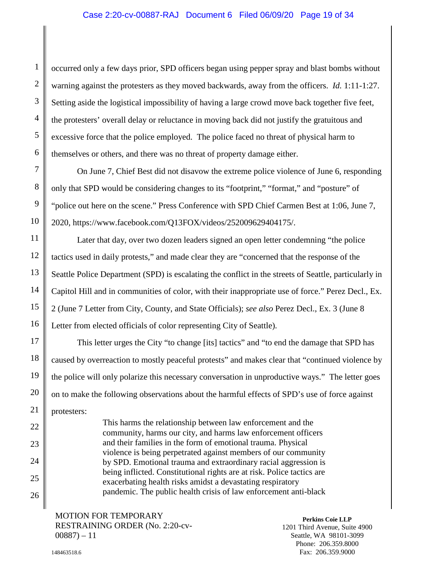## <span id="page-18-0"></span>Case 2:20-cv-00887-RAJ Document 6 Filed 06/09/20 Page 19 of 34

occurred only a few days prior, SPD officers began using pepper spray and blast bombs without warning against the protesters as they moved backwards, away from the officers. *Id.* 1:11-1:27. Setting aside the logistical impossibility of having a large crowd move back together five feet, the protesters' overall delay or reluctance in moving back did not justify the gratuitous and excessive force that the police employed. The police faced no threat of physical harm to themselves or others, and there was no threat of property damage either.

<span id="page-18-1"></span>On June 7, Chief Best did not disavow the extreme police violence of June 6, responding only that SPD would be considering changes to its "footprint," "format," and "posture" of "police out here on the scene." Press Conference with SPD Chief Carmen Best at 1:06, June 7, 2020, https://www.facebook.com/Q13FOX/videos/252009629404175/.

Later that day, over two dozen leaders signed an open letter condemning "the police tactics used in daily protests," and made clear they are "concerned that the response of the Seattle Police Department (SPD) is escalating the conflict in the streets of Seattle, particularly in Capitol Hill and in communities of color, with their inappropriate use of force." Perez Decl., Ex. 2 (June 7 Letter from City, County, and State Officials); *see also* Perez Decl., Ex. 3 (June 8 Letter from elected officials of color representing City of Seattle).

This letter urges the City "to change [its] tactics" and "to end the damage that SPD has caused by overreaction to mostly peaceful protests" and makes clear that "continued violence by the police will only polarize this necessary conversation in unproductive ways." The letter goes on to make the following observations about the harmful effects of SPD's use of force against protesters:

> This harms the relationship between law enforcement and the community, harms our city, and harms law enforcement officers and their families in the form of emotional trauma. Physical violence is being perpetrated against members of our community by SPD. Emotional trauma and extraordinary racial aggression is being inflicted. Constitutional rights are at risk. Police tactics are exacerbating health risks amidst a devastating respiratory pandemic. The public health crisis of law enforcement anti-black

MOTION FOR TEMPORARY RESTRAINING ORDER (No. 2:20-cv- $00887 - 11$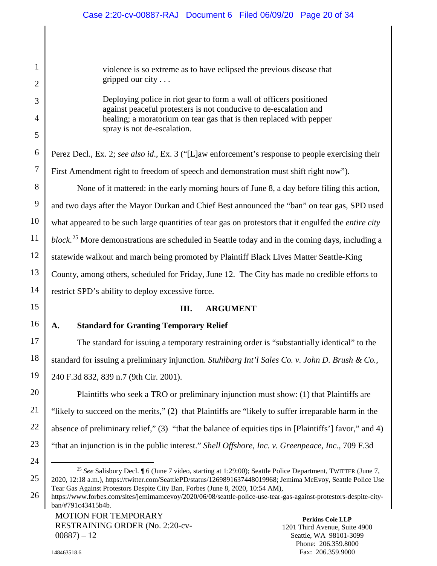violence is so extreme as to have eclipsed the previous disease that gripped our city . . .

Deploying police in riot gear to form a wall of officers positioned against peaceful protesters is not conducive to de-escalation and healing; a moratorium on tear gas that is then replaced with pepper spray is not de-escalation.

Perez Decl., Ex. 2; *see also id*., Ex. 3 ("[L]aw enforcement's response to people exercising their First Amendment right to freedom of speech and demonstration must shift right now").

None of it mattered: in the early morning hours of June 8, a day before filing this action, and two days after the Mayor Durkan and Chief Best announced the "ban" on tear gas, SPD used what appeared to be such large quantities of tear gas on protestors that it engulfed the *entire city block*. [25](#page-19-6) More demonstrations are scheduled in Seattle today and in the coming days, including a statewide walkout and march being promoted by Plaintiff Black Lives Matter Seattle-King County, among others, scheduled for Friday, June 12. The City has made no credible efforts to restrict SPD's ability to deploy excessive force.

# <span id="page-19-5"></span><span id="page-19-4"></span><span id="page-19-3"></span><span id="page-19-2"></span>**III. ARGUMENT**

# <span id="page-19-1"></span><span id="page-19-0"></span>**A. Standard for Granting Temporary Relief**

The standard for issuing a temporary restraining order is "substantially identical" to the standard for issuing a preliminary injunction. *Stuhlbarg Int'l Sales Co. v. John D. Brush & Co.*, 240 F.3d 832, 839 n.7 (9th Cir. 2001).

Plaintiffs who seek a TRO or preliminary injunction must show: (1) that Plaintiffs are "likely to succeed on the merits," (2) that Plaintiffs are "likely to suffer irreparable harm in the absence of preliminary relief," (3) "that the balance of equities tips in [Plaintiffs'] favor," and 4) "that an injunction is in the public interest." *Shell Offshore, Inc. v. Greenpeace, Inc.*, 709 F.3d

MOTION FOR TEMPORARY RESTRAINING ORDER (No. 2:20-cv- $00887 - 12$ 

 <sup>25</sup> *See* Salisbury Decl. ¶ 6 (June 7 video, starting at 1:29:00); Seattle Police Department, TWITTER (June 7, 2020, 12:18 a.m.), https://twitter.com/SeattlePD/status/1269891637448019968; Jemima McEvoy, Seattle Police Use Tear Gas Against Protestors Despite City Ban, Forbes (June 8, 2020, 10:54 AM),

<span id="page-19-6"></span>https://www.forbes.com/sites/jemimamcevoy/2020/06/08/seattle-police-use-tear-gas-against-protestors-despite-cityban/#791c43415b4b.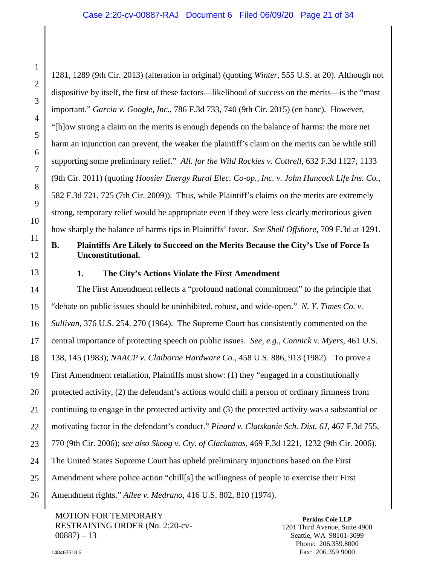<span id="page-20-5"></span><span id="page-20-2"></span>1281, 1289 (9th Cir. 2013) (alteration in original) (quoting *Winter*, 555 U.S. at 20). Although not dispositive by itself, the first of these factors—likelihood of success on the merits—is the "most important." *Garcia v. Google, Inc.*, 786 F.3d 733, 740 (9th Cir. 2015) (en banc). However, "[h]ow strong a claim on the merits is enough depends on the balance of harms: the more net harm an injunction can prevent, the weaker the plaintiff's claim on the merits can be while still supporting some preliminary relief." *All. for the Wild Rockies v. Cottrell*, 632 F.3d 1127, 1133 (9th Cir. 2011) (quoting *Hoosier Energy Rural Elec. Co-op., Inc. v. John Hancock Life Ins. Co.*, 582 F.3d 721, 725 (7th Cir. 2009)). Thus, while Plaintiff's claims on the merits are extremely strong, temporary relief would be appropriate even if they were less clearly meritorious given how sharply the balance of harms tips in Plaintiffs' favor. *See Shell Offshore*, 709 F.3d at 1291.

# <span id="page-20-0"></span>**B. Plaintiffs Are Likely to Succeed on the Merits Because the City's Use of Force Is Unconstitutional.**

<span id="page-20-1"></span>

## <span id="page-20-7"></span>**1. The City's Actions Violate the First Amendment**

The First Amendment reflects a "profound national commitment" to the principle that "debate on public issues should be uninhibited, robust, and wide-open." *N. Y. Times Co. v. Sullivan*, 376 U.S. 254, 270 (1964). The Supreme Court has consistently commented on the central importance of protecting speech on public issues. *See, e.g.*, *Connick v. Myers*, 461 U.S. 138, 145 (1983); *NAACP v. Claiborne Hardware Co.*, 458 U.S. 886, 913 (1982). To prove a First Amendment retaliation, Plaintiffs must show: (1) they "engaged in a constitutionally protected activity, (2) the defendant's actions would chill a person of ordinary firmness from continuing to engage in the protected activity and (3) the protected activity was a substantial or motivating factor in the defendant's conduct." *Pinard v. Clatskanie Sch. Dist. 6J*, 467 F.3d 755, 770 (9th Cir. 2006); *see also Skoog v. Cty. of Clackamas*, 469 F.3d 1221, 1232 (9th Cir. 2006). The United States Supreme Court has upheld preliminary injunctions based on the First Amendment where police action "chill[s] the willingness of people to exercise their First Amendment rights." *Allee v. Medrano*, 416 U.S. 802, 810 (1974).

<span id="page-20-9"></span><span id="page-20-3"></span>MOTION FOR TEMPORARY RESTRAINING ORDER (No. 2:20-cv- $00887 - 13$ 

<span id="page-20-8"></span><span id="page-20-6"></span><span id="page-20-4"></span>**Perkins Coie LLP** 1201 Third Avenue, Suite 4900 Seattle, WA 98101-3099 Phone: 206.359.8000 Fax: 206.359.9000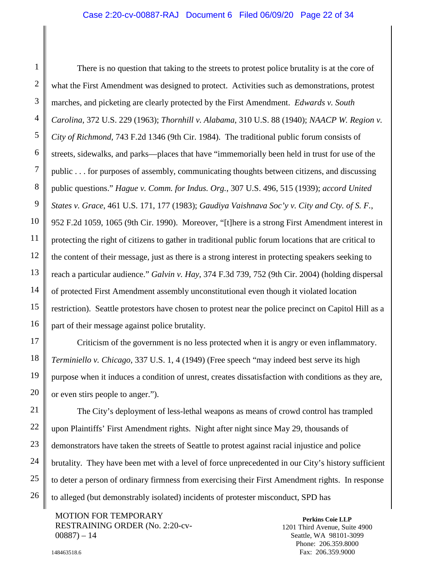#### <span id="page-21-7"></span><span id="page-21-4"></span><span id="page-21-0"></span>Case 2:20-cv-00887-RAJ Document 6 Filed 06/09/20 Page 22 of 34

<span id="page-21-6"></span><span id="page-21-3"></span><span id="page-21-2"></span>There is no question that taking to the streets to protest police brutality is at the core of what the First Amendment was designed to protect. Activities such as demonstrations, protest marches, and picketing are clearly protected by the First Amendment. *Edwards v. South Carolina*, 372 U.S. 229 (1963); *Thornhill v. Alabama*, 310 U.S. 88 (1940); *NAACP W. Region v. City of Richmond*, 743 F.2d 1346 (9th Cir. 1984). The traditional public forum consists of streets, sidewalks, and parks—places that have "immemorially been held in trust for use of the public . . . for purposes of assembly, communicating thoughts between citizens, and discussing public questions." *Hague v. Comm. for Indus. Org.*, 307 U.S. 496, 515 (1939); *accord United States v. Grace*, 461 U.S. 171, 177 (1983); *Gaudiya Vaishnava Soc'y v. City and Cty. of S. F.*, 952 F.2d 1059, 1065 (9th Cir. 1990). Moreover, "[t]here is a strong First Amendment interest in protecting the right of citizens to gather in traditional public forum locations that are critical to the content of their message, just as there is a strong interest in protecting speakers seeking to reach a particular audience." *Galvin v. Hay*, 374 F.3d 739, 752 (9th Cir. 2004) (holding dispersal of protected First Amendment assembly unconstitutional even though it violated location restriction). Seattle protestors have chosen to protest near the police precinct on Capitol Hill as a part of their message against police brutality.

<span id="page-21-5"></span><span id="page-21-1"></span>Criticism of the government is no less protected when it is angry or even inflammatory. *Terminiello v. Chicago*, 337 U.S. 1, 4 (1949) (Free speech "may indeed best serve its high purpose when it induces a condition of unrest, creates dissatisfaction with conditions as they are, or even stirs people to anger.").

The City's deployment of less-lethal weapons as means of crowd control has trampled upon Plaintiffs' First Amendment rights. Night after night since May 29, thousands of demonstrators have taken the streets of Seattle to protest against racial injustice and police brutality. They have been met with a level of force unprecedented in our City's history sufficient to deter a person of ordinary firmness from exercising their First Amendment rights. In response to alleged (but demonstrably isolated) incidents of protester misconduct, SPD has

MOTION FOR TEMPORARY RESTRAINING ORDER (No. 2:20-cv- $00887 - 14$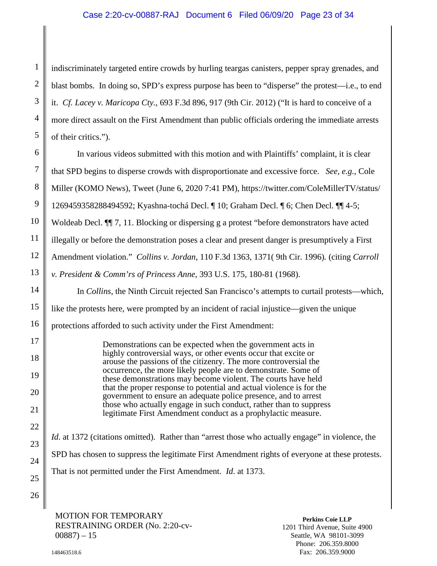# <span id="page-22-2"></span>Case 2:20-cv-00887-RAJ Document 6 Filed 06/09/20 Page 23 of 34

<span id="page-22-1"></span>indiscriminately targeted entire crowds by hurling teargas canisters, pepper spray grenades, and blast bombs. In doing so, SPD's express purpose has been to "disperse" the protest—i.e., to end it. *Cf. Lacey v. Maricopa Cty.*, 693 F.3d 896, 917 (9th Cir. 2012) ("It is hard to conceive of a more direct assault on the First Amendment than public officials ordering the immediate arrests of their critics.").

In various videos submitted with this motion and with Plaintiffs' complaint, it is clear that SPD begins to disperse crowds with disproportionate and excessive force. *See, e.g.*, Cole Miller (KOMO News), Tweet (June 6, 2020 7:41 PM), https://twitter.com/ColeMillerTV/status/ 1269459358288494592; Kyashna-tochá Decl. ¶ 10; Graham Decl. ¶ 6; Chen Decl. ¶¶ 4-5; Woldeab Decl.  $\P$ , 11. Blocking or dispersing g a protest "before demonstrators have acted illegally or before the demonstration poses a clear and present danger is presumptively a First Amendment violation." *Collins v. Jordan*, 110 F.3d 1363, 1371( 9th Cir. 1996)*.* (citing *Carroll v. President & Comm'rs of Princess Anne*, 393 U.S. 175, 180-81 (1968). In *Collins*, the Ninth Circuit rejected San Francisco's attempts to curtail protests—which, like the protests here, were prompted by an incident of racial injustice—given the unique protections afforded to such activity under the First Amendment:

Demonstrations can be expected when the government acts in highly controversial ways, or other events occur that excite or arouse the passions of the citizenry. The more controversial the occurrence, the more likely people are to demonstrate. Some of these demonstrations may become violent. The courts have held that the proper response to potential and actual violence is for the government to ensure an adequate police presence, and to arrest those who actually engage in such conduct, rather than to suppress legitimate First Amendment conduct as a prophylactic measure.

<span id="page-22-0"></span>*Id.* at 1372 (citations omitted). Rather than "arrest those who actually engage" in violence, the SPD has chosen to suppress the legitimate First Amendment rights of everyone at these protests. That is not permitted under the First Amendment. *Id*. at 1373.

MOTION FOR TEMPORARY RESTRAINING ORDER (No. 2:20-cv- $00887 - 15$ 

**Perkins Coie LLP** 1201 Third Avenue, Suite 4900 Seattle, WA 98101-3099 Phone: 206.359.8000 Fax: 206.359.9000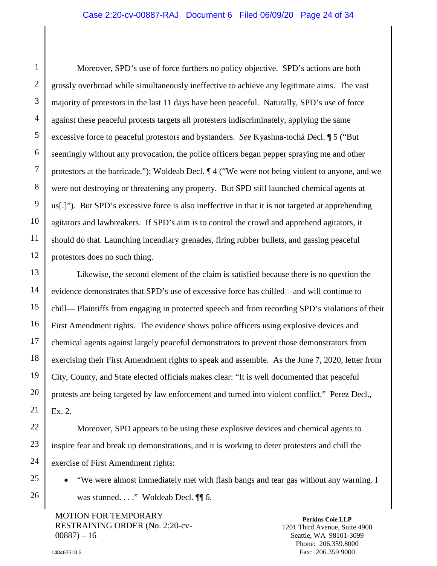#### Case 2:20-cv-00887-RAJ Document 6 Filed 06/09/20 Page 24 of 34

Moreover, SPD's use of force furthers no policy objective. SPD's actions are both grossly overbroad while simultaneously ineffective to achieve any legitimate aims. The vast majority of protestors in the last 11 days have been peaceful. Naturally, SPD's use of force against these peaceful protests targets all protesters indiscriminately, applying the same excessive force to peaceful protestors and bystanders. *See* Kyashna-tochá Decl. ¶ 5 ("But seemingly without any provocation, the police officers began pepper spraying me and other protestors at the barricade."); Woldeab Decl. ¶ 4 ("We were not being violent to anyone, and we were not destroying or threatening any property. But SPD still launched chemical agents at us[.]"). But SPD's excessive force is also ineffective in that it is not targeted at apprehending agitators and lawbreakers. If SPD's aim is to control the crowd and apprehend agitators, it should do that. Launching incendiary grenades, firing rubber bullets, and gassing peaceful protestors does no such thing.

Likewise, the second element of the claim is satisfied because there is no question the evidence demonstrates that SPD's use of excessive force has chilled—and will continue to chill— Plaintiffs from engaging in protected speech and from recording SPD's violations of their First Amendment rights. The evidence shows police officers using explosive devices and chemical agents against largely peaceful demonstrators to prevent those demonstrators from exercising their First Amendment rights to speak and assemble. As the June 7, 2020, letter from City, County, and State elected officials makes clear: "It is well documented that peaceful protests are being targeted by law enforcement and turned into violent conflict." Perez Decl., Ex. 2.

 Moreover, SPD appears to be using these explosive devices and chemical agents to inspire fear and break up demonstrations, and it is working to deter protesters and chill the exercise of First Amendment rights:

• "We were almost immediately met with flash bangs and tear gas without any warning. I was stunned. . . ." Woldeab Decl. ¶ 6.

MOTION FOR TEMPORARY RESTRAINING ORDER (No. 2:20-cv- $00887 - 16$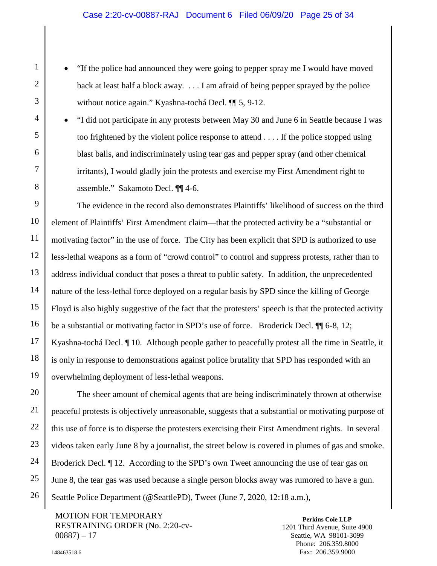- "If the police had announced they were going to pepper spray me I would have moved back at least half a block away. . . . I am afraid of being pepper sprayed by the police without notice again." Kyashna-tochá Decl. ¶ 5, 9-12.
- "I did not participate in any protests between May 30 and June 6 in Seattle because I was too frightened by the violent police response to attend . . . . If the police stopped using blast balls, and indiscriminately using tear gas and pepper spray (and other chemical irritants), I would gladly join the protests and exercise my First Amendment right to assemble." Sakamoto Decl. ¶¶ 4-6.

 The evidence in the record also demonstrates Plaintiffs' likelihood of success on the third element of Plaintiffs' First Amendment claim—that the protected activity be a "substantial or motivating factor" in the use of force. The City has been explicit that SPD is authorized to use less-lethal weapons as a form of "crowd control" to control and suppress protests, rather than to address individual conduct that poses a threat to public safety. In addition, the unprecedented nature of the less-lethal force deployed on a regular basis by SPD since the killing of George Floyd is also highly suggestive of the fact that the protesters' speech is that the protected activity be a substantial or motivating factor in SPD's use of force. Broderick Decl. ¶¶ 6-8, 12; Kyashna-tochá Decl. ¶ 10. Although people gather to peacefully protest all the time in Seattle, it is only in response to demonstrations against police brutality that SPD has responded with an overwhelming deployment of less-lethal weapons.

 The sheer amount of chemical agents that are being indiscriminately thrown at otherwise peaceful protests is objectively unreasonable, suggests that a substantial or motivating purpose of this use of force is to disperse the protesters exercising their First Amendment rights. In several videos taken early June 8 by a journalist, the street below is covered in plumes of gas and smoke. Broderick Decl. ¶ 12. According to the SPD's own Tweet announcing the use of tear gas on June 8, the tear gas was used because a single person blocks away was rumored to have a gun. Seattle Police Department (@SeattlePD), Tweet (June 7, 2020, 12:18 a.m.),

<span id="page-24-0"></span>MOTION FOR TEMPORARY RESTRAINING ORDER (No. 2:20-cv- $00887 - 17$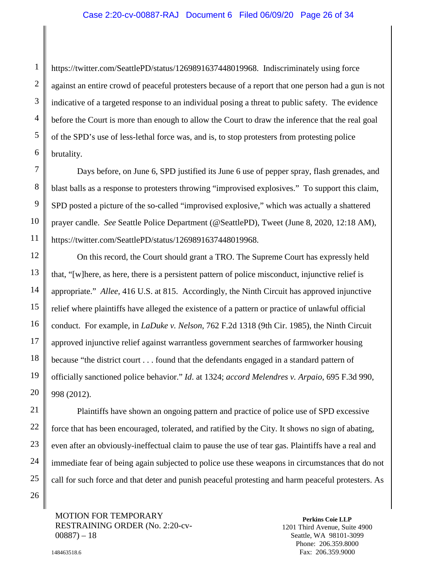#### Case 2:20-cv-00887-RAJ Document 6 Filed 06/09/20 Page 26 of 34

https://twitter.com/SeattlePD/status/1269891637448019968. Indiscriminately using force against an entire crowd of peaceful protesters because of a report that one person had a gun is not indicative of a targeted response to an individual posing a threat to public safety. The evidence before the Court is more than enough to allow the Court to draw the inference that the real goal of the SPD's use of less-lethal force was, and is, to stop protesters from protesting police brutality.

 Days before, on June 6, SPD justified its June 6 use of pepper spray, flash grenades, and blast balls as a response to protesters throwing "improvised explosives." To support this claim, SPD posted a picture of the so-called "improvised explosive," which was actually a shattered prayer candle. *See* Seattle Police Department (@SeattlePD), Tweet (June 8, 2020, 12:18 AM), https://twitter.com/SeattlePD/status/1269891637448019968.

<span id="page-25-3"></span><span id="page-25-1"></span><span id="page-25-0"></span>On this record, the Court should grant a TRO. The Supreme Court has expressly held that, "[w]here, as here, there is a persistent pattern of police misconduct, injunctive relief is appropriate." *Allee*, 416 U.S. at 815. Accordingly, the Ninth Circuit has approved injunctive relief where plaintiffs have alleged the existence of a pattern or practice of unlawful official conduct. For example, in *LaDuke v. Nelson*, 762 F.2d 1318 (9th Cir. 1985), the Ninth Circuit approved injunctive relief against warrantless government searches of farmworker housing because "the district court . . . found that the defendants engaged in a standard pattern of officially sanctioned police behavior." *Id*. at 1324; *accord Melendres v. Arpaio*, 695 F.3d 990, 998 (2012).

Plaintiffs have shown an ongoing pattern and practice of police use of SPD excessive force that has been encouraged, tolerated, and ratified by the City. It shows no sign of abating, even after an obviously-ineffectual claim to pause the use of tear gas. Plaintiffs have a real and immediate fear of being again subjected to police use these weapons in circumstances that do not call for such force and that deter and punish peaceful protesting and harm peaceful protesters. As

MOTION FOR TEMPORARY RESTRAINING ORDER (No. 2:20-cv- $00887 - 18$ 

<span id="page-25-2"></span>**Perkins Coie LLP** 1201 Third Avenue, Suite 4900 Seattle, WA 98101-3099 Phone: 206.359.8000 Fax: 206.359.9000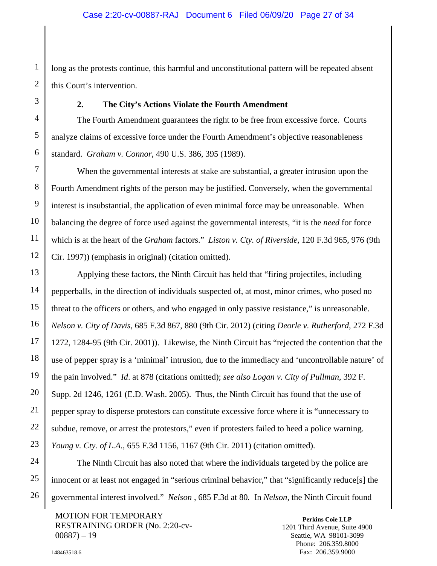long as the protests continue, this harmful and unconstitutional pattern will be repeated absent this Court's intervention.

#### <span id="page-26-1"></span>**2. The City's Actions Violate the Fourth Amendment**

<span id="page-26-0"></span>The Fourth Amendment guarantees the right to be free from excessive force. Courts analyze claims of excessive force under the Fourth Amendment's objective reasonableness standard. *Graham v. Connor*, 490 U.S. 386, 395 (1989).

When the governmental interests at stake are substantial, a greater intrusion upon the Fourth Amendment rights of the person may be justified. Conversely, when the governmental interest is insubstantial, the application of even minimal force may be unreasonable. When balancing the degree of force used against the governmental interests, "it is the *need* for force which is at the heart of the *Graham* factors." *Liston v. Cty. of Riverside*, 120 F.3d 965, 976 (9th Cir. 1997)) (emphasis in original) (citation omitted).

<span id="page-26-4"></span><span id="page-26-2"></span>Applying these factors, the Ninth Circuit has held that "firing projectiles, including pepperballs, in the direction of individuals suspected of, at most, minor crimes, who posed no threat to the officers or others, and who engaged in only passive resistance," is unreasonable. *Nelson v. City of Davis*, 685 F.3d 867, 880 (9th Cir. 2012) (citing *Deorle v. Rutherford*, 272 F.3d 1272, 1284-95 (9th Cir. 2001)). Likewise, the Ninth Circuit has "rejected the contention that the use of pepper spray is a 'minimal' intrusion, due to the immediacy and 'uncontrollable nature' of the pain involved." *Id*. at 878 (citations omitted); *see also Logan v. City of Pullman*, 392 F. Supp. 2d 1246, 1261 (E.D. Wash. 2005). Thus, the Ninth Circuit has found that the use of pepper spray to disperse protestors can constitute excessive force where it is "unnecessary to subdue, remove, or arrest the protestors," even if protesters failed to heed a police warning. *Young v. Cty. of L.A.*, 655 F.3d 1156, 1167 (9th Cir. 2011) (citation omitted).

<span id="page-26-6"></span><span id="page-26-3"></span>The Ninth Circuit has also noted that where the individuals targeted by the police are innocent or at least not engaged in "serious criminal behavior," that "significantly reduce[s] the governmental interest involved." *Nelson* , 685 F.3d at 80*.* In *Nelson*, the Ninth Circuit found

<span id="page-26-5"></span>MOTION FOR TEMPORARY RESTRAINING ORDER (No. 2:20-cv- $00887 - 19$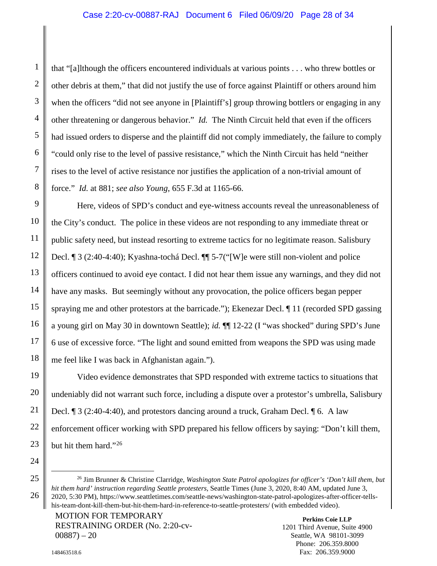## Case 2:20-cv-00887-RAJ Document 6 Filed 06/09/20 Page 28 of 34

that "[a]lthough the officers encountered individuals at various points . . . who threw bottles or other debris at them," that did not justify the use of force against Plaintiff or others around him when the officers "did not see anyone in [Plaintiff's] group throwing bottlers or engaging in any other threatening or dangerous behavior." *Id.* The Ninth Circuit held that even if the officers had issued orders to disperse and the plaintiff did not comply immediately, the failure to comply "could only rise to the level of passive resistance," which the Ninth Circuit has held "neither rises to the level of active resistance nor justifies the application of a non-trivial amount of force." *Id.* at 881; *see also Young*, 655 F.3d at 1165-66.

Here, videos of SPD's conduct and eye-witness accounts reveal the unreasonableness of the City's conduct. The police in these videos are not responding to any immediate threat or public safety need, but instead resorting to extreme tactics for no legitimate reason. Salisbury Decl. ¶ 3 (2:40-4:40); Kyashna-tochá Decl. ¶¶ 5-7("[W]e were still non-violent and police officers continued to avoid eye contact. I did not hear them issue any warnings, and they did not have any masks. But seemingly without any provocation, the police officers began pepper spraying me and other protestors at the barricade."); Ekenezar Decl. ¶ 11 (recorded SPD gassing a young girl on May 30 in downtown Seattle); *id.* ¶¶ 12-22 (I "was shocked" during SPD's June 6 use of excessive force. "The light and sound emitted from weapons the SPD was using made me feel like I was back in Afghanistan again.").

Video evidence demonstrates that SPD responded with extreme tactics to situations that undeniably did not warrant such force, including a dispute over a protestor's umbrella, Salisbury Decl. ¶ 3 (2:40-4:40), and protestors dancing around a truck, Graham Decl. ¶ 6. A law enforcement officer working with SPD prepared his fellow officers by saying: "Don't kill them, but hit them hard."<sup>[26](#page-27-1)</sup>

MOTION FOR TEMPORARY RESTRAINING ORDER (No. 2:20-cv- $00887 - 20$ 

**Perkins Coie LLP** 1201 Third Avenue, Suite 4900 Seattle, WA 98101-3099 Phone: 206.359.8000 Fax: 206.359.9000

<span id="page-27-1"></span><span id="page-27-0"></span> <sup>26</sup> Jim Brunner & Christine Clarridge, *Washington State Patrol apologizes for officer's 'Don't kill them, but hit them hard' instruction regarding Seattle protesters*, Seattle Times (June 3, 2020, 8:40 AM, updated June 3, 2020, 5:30 PM), https://www.seattletimes.com/seattle-news/washington-state-patrol-apologizes-after-officer-tellshis-team-dont-kill-them-but-hit-them-hard-in-reference-to-seattle-protesters/ (with embedded video).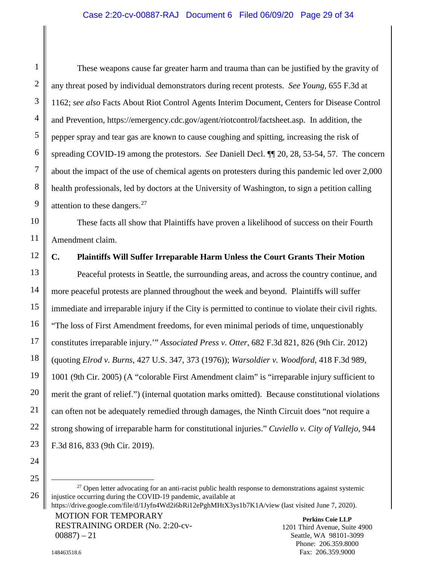<span id="page-28-5"></span><span id="page-28-4"></span>These weapons cause far greater harm and trauma than can be justified by the gravity of any threat posed by individual demonstrators during recent protests. *See Young*, 655 F.3d at 1162; *see also* Facts About Riot Control Agents Interim Document, Centers for Disease Control and Prevention, https://emergency.cdc.gov/agent/riotcontrol/factsheet.asp. In addition, the pepper spray and tear gas are known to cause coughing and spitting, increasing the risk of spreading COVID-19 among the protestors. *See* Daniell Decl. ¶¶ 20, 28, 53-54, 57*.* The concern about the impact of the use of chemical agents on protesters during this pandemic led over 2,000 health professionals, led by doctors at the University of Washington, to sign a petition calling attention to these dangers. $27$ 

These facts all show that Plaintiffs have proven a likelihood of success on their Fourth Amendment claim.

# <span id="page-28-0"></span>**C. Plaintiffs Will Suffer Irreparable Harm Unless the Court Grants Their Motion**

<span id="page-28-3"></span><span id="page-28-1"></span>Peaceful protests in Seattle, the surrounding areas, and across the country continue, and more peaceful protests are planned throughout the week and beyond. Plaintiffs will suffer immediate and irreparable injury if the City is permitted to continue to violate their civil rights. "The loss of First Amendment freedoms, for even minimal periods of time, unquestionably constitutes irreparable injury.'" *Associated Press v. Otter*, 682 F.3d 821, 826 (9th Cir. 2012) (quoting *Elrod v. Burns*, 427 U.S. 347, 373 (1976)); *Warsoldier v. Woodford*, 418 F.3d 989, 1001 (9th Cir. 2005) (A "colorable First Amendment claim" is "irreparable injury sufficient to merit the grant of relief.") (internal quotation marks omitted). Because constitutional violations can often not be adequately remedied through damages, the Ninth Circuit does "not require a strong showing of irreparable harm for constitutional injuries." *Cuviello v. City of Vallejo*, 944 F.3d 816, 833 (9th Cir. 2019).

1

2

3

4

5

6

7

8

9

10

11

12

13

14

15

16

RESTRAINING ORDER (No. 2:20-cv- $00887 - 21$ 

<span id="page-28-7"></span><span id="page-28-6"></span><span id="page-28-2"></span> $27$  Open letter advocating for an anti-racist public health response to demonstrations against systemic injustice occurring during the COVID-19 pandemic, available at

MOTION FOR TEMPORARY https://drive.google.com/file/d/1Jyfn4Wd2i6bRi12ePghMHtX3ys1b7K1A/view (last visited June 7, 2020).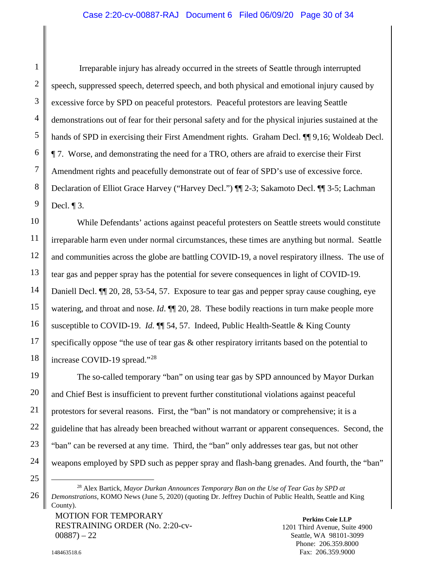# Case 2:20-cv-00887-RAJ Document 6 Filed 06/09/20 Page 30 of 34

Irreparable injury has already occurred in the streets of Seattle through interrupted speech, suppressed speech, deterred speech, and both physical and emotional injury caused by excessive force by SPD on peaceful protestors. Peaceful protestors are leaving Seattle demonstrations out of fear for their personal safety and for the physical injuries sustained at the hands of SPD in exercising their First Amendment rights. Graham Decl. ¶¶ 9,16; Woldeab Decl. ¶ 7. Worse, and demonstrating the need for a TRO, others are afraid to exercise their First Amendment rights and peacefully demonstrate out of fear of SPD's use of excessive force. Declaration of Elliot Grace Harvey ("Harvey Decl.") ¶¶ 2-3; Sakamoto Decl. ¶¶ 3-5; Lachman Decl. ¶ 3.

While Defendants' actions against peaceful protesters on Seattle streets would constitute irreparable harm even under normal circumstances, these times are anything but normal. Seattle and communities across the globe are battling COVID-19, a novel respiratory illness. The use of tear gas and pepper spray has the potential for severe consequences in light of COVID-19. Daniell Decl. ¶¶ 20, 28, 53-54, 57. Exposure to tear gas and pepper spray cause coughing, eye watering, and throat and nose. *Id*.  $\P$  20, 28. These bodily reactions in turn make people more susceptible to COVID-19. *Id.* ¶¶ 54, 57. Indeed, Public Health-Seattle & King County specifically oppose "the use of tear gas & other respiratory irritants based on the potential to increase COVID-19 spread."[28](#page-29-1)

The so-called temporary "ban" on using tear gas by SPD announced by Mayor Durkan and Chief Best is insufficient to prevent further constitutional violations against peaceful protestors for several reasons. First, the "ban" is not mandatory or comprehensive; it is a guideline that has already been breached without warrant or apparent consequences. Second, the "ban" can be reversed at any time. Third, the "ban" only addresses tear gas, but not other weapons employed by SPD such as pepper spray and flash-bang grenades. And fourth, the "ban"

MOTION FOR TEMPORARY RESTRAINING ORDER (No. 2:20-cv- $00887 - 22$ 

<span id="page-29-1"></span><sup>25</sup>

<span id="page-29-0"></span> <sup>28</sup> Alex Bartick, *Mayor Durkan Announces Temporary Ban on the Use of Tear Gas by SPD at Demonstrations*, KOMO News (June 5, 2020) (quoting Dr. Jeffrey Duchin of Public Health, Seattle and King County).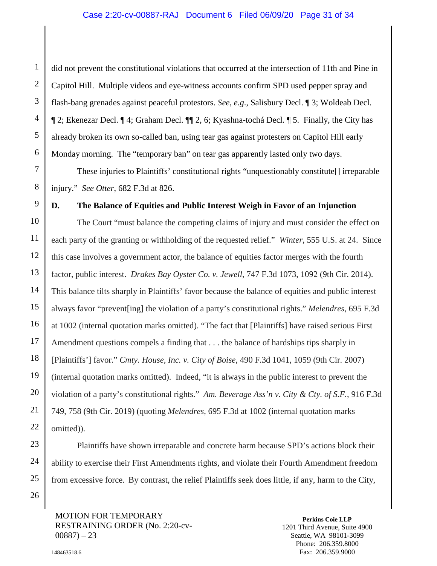### Case 2:20-cv-00887-RAJ Document 6 Filed 06/09/20 Page 31 of 34

did not prevent the constitutional violations that occurred at the intersection of 11th and Pine in Capitol Hill. Multiple videos and eye-witness accounts confirm SPD used pepper spray and flash-bang grenades against peaceful protestors. *See, e.g*., Salisbury Decl. ¶ 3; Woldeab Decl. ¶ 2; Ekenezar Decl. ¶ 4; Graham Decl. ¶¶ 2, 6; Kyashna-tochá Decl. ¶ 5. Finally, the City has already broken its own so-called ban, using tear gas against protesters on Capitol Hill early Monday morning. The "temporary ban" on tear gas apparently lasted only two days.

<span id="page-30-2"></span>These injuries to Plaintiffs' constitutional rights "unquestionably constitute[] irreparable injury." *See Otter*, 682 F.3d at 826.

## <span id="page-30-0"></span>**D. The Balance of Equities and Public Interest Weigh in Favor of an Injunction**

<span id="page-30-4"></span>The Court "must balance the competing claims of injury and must consider the effect on each party of the granting or withholding of the requested relief." *Winter*, 555 U.S. at 24. Since this case involves a government actor, the balance of equities factor merges with the fourth factor, public interest. *Drakes Bay Oyster Co. v. Jewell*, 747 F.3d 1073, 1092 (9th Cir. 2014). This balance tilts sharply in Plaintiffs' favor because the balance of equities and public interest always favor "prevent[ing] the violation of a party's constitutional rights." *Melendres*, 695 F.3d at 1002 (internal quotation marks omitted). "The fact that [Plaintiffs] have raised serious First Amendment questions compels a finding that . . . the balance of hardships tips sharply in [Plaintiffs'] favor." *Cmty. House, Inc. v. City of Boise*, 490 F.3d 1041, 1059 (9th Cir. 2007) (internal quotation marks omitted). Indeed, "it is always in the public interest to prevent the violation of a party's constitutional rights." *Am. Beverage Ass'n v. City & Cty. of S.F.*, 916 F.3d 749, 758 (9th Cir. 2019) (quoting *Melendres*, 695 F.3d at 1002 (internal quotation marks omitted)).

<span id="page-30-3"></span>Plaintiffs have shown irreparable and concrete harm because SPD's actions block their ability to exercise their First Amendments rights, and violate their Fourth Amendment freedom from excessive force. By contrast, the relief Plaintiffs seek does little, if any, harm to the City,

MOTION FOR TEMPORARY RESTRAINING ORDER (No. 2:20-cv- $00887 - 23$ 

<span id="page-30-5"></span><span id="page-30-1"></span>**Perkins Coie LLP** 1201 Third Avenue, Suite 4900 Seattle, WA 98101-3099 Phone: 206.359.8000 Fax: 206.359.9000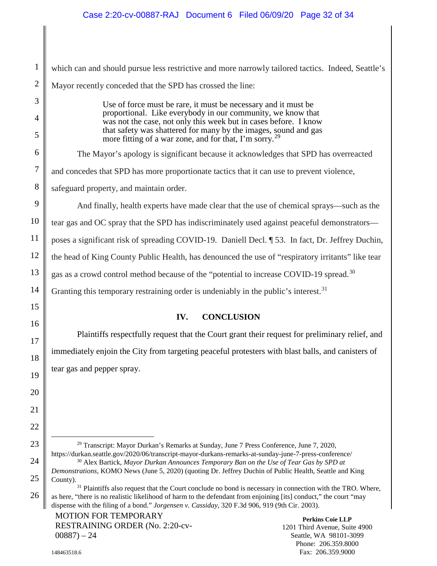which can and should pursue less restrictive and more narrowly tailored tactics. Indeed, Seattle's Mayor recently conceded that the SPD has crossed the line:

> Use of force must be rare, it must be necessary and it must be proportional. Like everybody in our community, we know that was not the case, not only this week but in cases before. I know that safety was shattered for many by the images, sound and gas more fitting of a war zone, and for that, I'm sorry.<sup>[29](#page-31-4)</sup>

The Mayor's apology is significant because it acknowledges that SPD has overreacted

and concedes that SPD has more proportionate tactics that it can use to prevent violence,

safeguard property, and maintain order.

And finally, health experts have made clear that the use of chemical sprays—such as the tear gas and OC spray that the SPD has indiscriminately used against peaceful demonstrators poses a significant risk of spreading COVID-19. Daniell Decl. ¶ 53. In fact, Dr. Jeffrey Duchin, the head of King County Public Health, has denounced the use of "respiratory irritants" like tear gas as a crowd control method because of the "potential to increase COVID-19 spread.<sup>30</sup> Granting this temporary restraining order is undeniably in the public's interest.<sup>[31](#page-31-6)</sup>

# **IV. CONCLUSION**

<span id="page-31-0"></span>Plaintiffs respectfully request that the Court grant their request for preliminary relief, and immediately enjoin the City from targeting peaceful protesters with blast balls, and canisters of tear gas and pepper spray.

<span id="page-31-4"></span><span id="page-31-3"></span> 29 Transcript: Mayor Durkan's Remarks at Sunday, June 7 Press Conference, June 7, 2020, https://durkan.seattle.gov/2020/06/transcript-mayor-durkans-remarks-at-sunday-june-7-press-conference/ <sup>30</sup> Alex Bartick, *Mayor Durkan Announces Temporary Ban on the Use of Tear Gas by SPD at Demonstrations*, KOMO News (June 5, 2020) (quoting Dr. Jeffrey Duchin of Public Health, Seattle and King

<span id="page-31-6"></span><span id="page-31-5"></span> $31$  Plaintiffs also request that the Court conclude no bond is necessary in connection with the TRO. Where, as here, "there is no realistic likelihood of harm to the defendant from enjoining [its] conduct," the court "may dispense with the filing of a bond." *Jorgensen v. Cassiday*, 320 F.3d 906, 919 (9th Cir. 2003).

# <span id="page-31-1"></span>MOTION FOR TEMPORARY RESTRAINING ORDER (No. 2:20-cv- $00887 - 24$

<span id="page-31-2"></span>County).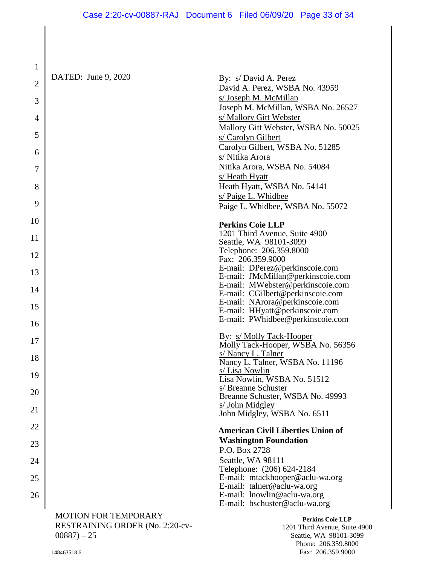David A. Perez, WSBA No. 43959

DATED: June 9, 2020 By: s/ David A. Perez

1

2

3

4

5

6

7

8

9

10

11

12

13

14

15

16

17

18

19

20

21

22

23

24

25

26

| s/ Joseph M. McMillan<br>Joseph M. McMillan, WSBA No. 26527<br>s/ Mallory Gitt Webster<br>Mallory Gitt Webster, WSBA No. 50025<br>s/ Carolyn Gilbert<br>Carolyn Gilbert, WSBA No. 51285<br>s/ Nitika Arora<br>Nitika Arora, WSBA No. 54084<br>s/ Heath Hyatt<br>Heath Hyatt, WSBA No. 54141<br>s/ Paige L. Whidbee<br>Paige L. Whidbee, WSBA No. 55072                                    |
|-------------------------------------------------------------------------------------------------------------------------------------------------------------------------------------------------------------------------------------------------------------------------------------------------------------------------------------------------------------------------------------------|
| <b>Perkins Coie LLP</b><br>1201 Third Avenue, Suite 4900<br>Seattle, WA 98101-3099<br>Telephone: 206.359.8000<br>Fax: 206.359.9000<br>E-mail: DPerez@perkinscoie.com<br>E-mail: JMcMillan@perkinscoie.com<br>E-mail: MWebster@perkinscoie.com<br>E-mail: CGilbert@perkinscoie.com<br>E-mail: NArora@perkinscoie.com<br>E-mail: HHyatt@perkinscoie.com<br>E-mail: PWhidbee@perkinscoie.com |
| By: s/ Molly Tack-Hooper<br>Molly Tack-Hooper, WSBA No. 56356<br>s/ Nancy L. Talner<br>Nancy L. Talner, WSBA No. 11196<br>s/ Lisa Nowlin<br>Lisa Nowlin, WSBA No. 51512<br>s/ Breanne Schuster<br>Breanne Schuster, WSBA No. 49993<br><u>s/ John Midgley</u><br>John Midgley, WSBA No. 6511                                                                                               |
| <b>American Civil Liberties Union of</b><br><b>Washington Foundation</b>                                                                                                                                                                                                                                                                                                                  |

 P.O. Box 2728 Seattle, WA 98111 Telephone: (206) 624-2184 E-mail: mtackhooper@aclu-wa.org E-mail: talner@aclu-wa.org<br>E-mail: lnowlin@aclu-wa.org E-mail: bschuster@aclu-wa.org

MOTION FOR TEMPORARY RESTRAINING ORDER (No. 2:20-cv- $00887 - 25$